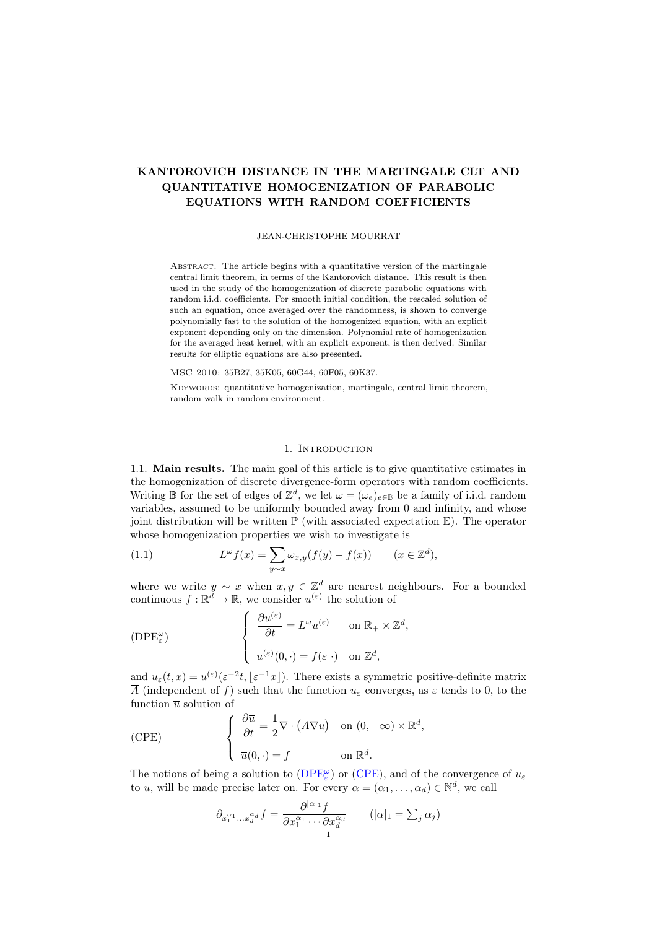# KANTOROVICH DISTANCE IN THE MARTINGALE CLT AND QUANTITATIVE HOMOGENIZATION OF PARABOLIC EQUATIONS WITH RANDOM COEFFICIENTS

#### JEAN-CHRISTOPHE MOURRAT

ABSTRACT. The article begins with a quantitative version of the martingale central limit theorem, in terms of the Kantorovich distance. This result is then used in the study of the homogenization of discrete parabolic equations with random i.i.d. coefficients. For smooth initial condition, the rescaled solution of such an equation, once averaged over the randomness, is shown to converge polynomially fast to the solution of the homogenized equation, with an explicit exponent depending only on the dimension. Polynomial rate of homogenization for the averaged heat kernel, with an explicit exponent, is then derived. Similar results for elliptic equations are also presented.

MSC 2010: 35B27, 35K05, 60G44, 60F05, 60K37.

KEYWORDS: quantitative homogenization, martingale, central limit theorem, random walk in random environment.

### 1. INTRODUCTION

1.1. Main results. The main goal of this article is to give quantitative estimates in the homogenization of discrete divergence-form operators with random coefficients. Writing B for the set of edges of  $\mathbb{Z}^d$ , we let  $\omega = (\omega_e)_{e \in \mathbb{B}}$  be a family of i.i.d. random variables, assumed to be uniformly bounded away from 0 and infinity, and whose joint distribution will be written  $\mathbb{P}$  (with associated expectation  $\mathbb{E}$ ). The operator whose homogenization properties we wish to investigate is

<span id="page-0-2"></span>(1.1) 
$$
L^{\omega}f(x) = \sum_{y \sim x} \omega_{x,y}(f(y) - f(x)) \qquad (x \in \mathbb{Z}^d),
$$

where we write  $y \sim x$  when  $x, y \in \mathbb{Z}^d$  are nearest neighbours. For a bounded continuous  $f: \mathbb{R}^d \to \mathbb{R}$ , we consider  $u^{(\varepsilon)}$  the solution of

<span id="page-0-0"></span>
$$
\text{(DPE}_{\varepsilon}^{\omega}) \qquad \qquad \left\{ \begin{array}{ll} \frac{\partial u^{(\varepsilon)}}{\partial t} = L^{\omega} u^{(\varepsilon)} & \text{on } \mathbb{R}_{+} \times \mathbb{Z}^{d}, \\ u^{(\varepsilon)}(0, \cdot) = f(\varepsilon \cdot) & \text{on } \mathbb{Z}^{d}, \end{array} \right.
$$

and  $u_{\varepsilon}(t,x) = u^{(\varepsilon)}(\varepsilon^{-2}t, \lfloor \varepsilon^{-1}x \rfloor)$ . There exists a symmetric positive-definite matrix  $\overline{A}$  (independent of f) such that the function  $u_{\varepsilon}$  converges, as  $\varepsilon$  tends to 0, to the function  $\overline{u}$  solution of

<span id="page-0-1"></span>(CPE) 
$$
\begin{cases} \frac{\partial \overline{u}}{\partial t} = \frac{1}{2} \nabla \cdot (\overline{A} \nabla \overline{u}) & \text{on } (0, +\infty) \times \mathbb{R}^d, \\ \overline{u}(0, \cdot) = f & \text{on } \mathbb{R}^d. \end{cases}
$$

The notions of being a solution to  $(DPE<sup>\omega</sup><sub>\varepsilon</sub>$  $(DPE<sup>\omega</sup><sub>\varepsilon</sub>$  or [\(CPE\)](#page-0-1), and of the convergence of  $u<sub>\varepsilon</sub>$ to  $\overline{u}$ , will be made precise later on. For every  $\alpha = (\alpha_1, \dots, \alpha_d) \in \mathbb{N}^d$ , we call

$$
\partial_{x_1^{\alpha_1} \dots x_d^{\alpha_d}} f = \frac{\partial^{|\alpha|_1} f}{\partial x_1^{\alpha_1} \cdots \partial x_d^{\alpha_d}} \qquad (|\alpha|_1 = \sum_j \alpha_j)
$$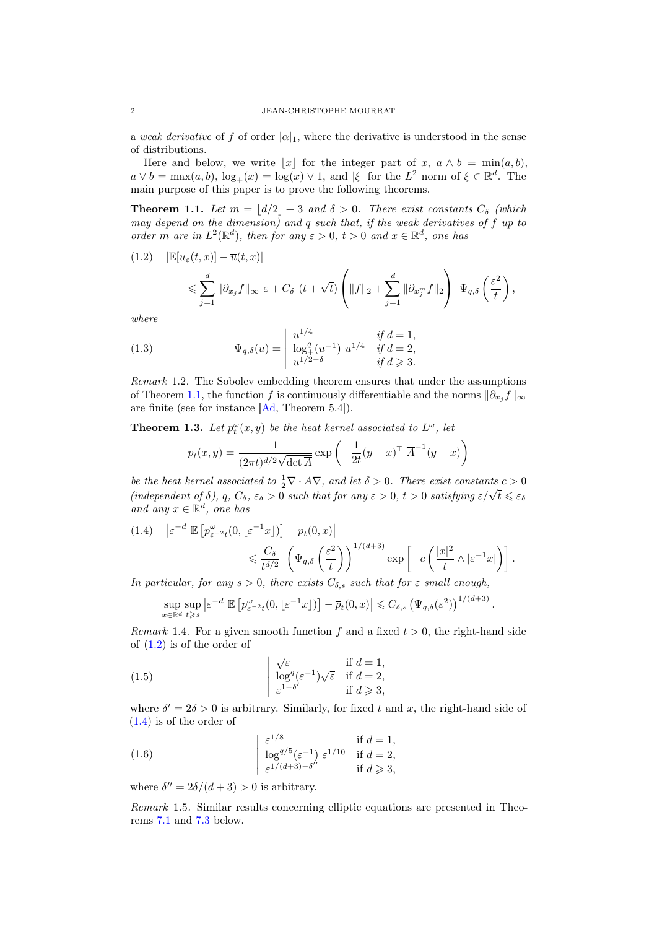a weak derivative of f of order  $|\alpha|_1$ , where the derivative is understood in the sense of distributions.

Here and below, we write |x| for the integer part of x,  $a \wedge b = \min(a, b)$ ,  $a \vee b = \max(a, b), \log_+(x) = \log(x) \vee 1$ , and  $|\xi|$  for the  $L^2$  norm of  $\xi \in \mathbb{R}^d$ . The main purpose of this paper is to prove the following theorems.

<span id="page-1-0"></span>**Theorem 1.1.** Let  $m = |d/2| + 3$  and  $\delta > 0$ . There exist constants  $C_{\delta}$  (which may depend on the dimension) and q such that, if the weak derivatives of f up to order m are in  $L^2(\mathbb{R}^d)$ , then for any  $\varepsilon > 0$ ,  $t > 0$  and  $x \in \mathbb{R}^d$ , one has

<span id="page-1-1"></span>
$$
(1.2) \quad |\mathbb{E}[u_{\varepsilon}(t,x)] - \overline{u}(t,x)|
$$
  
\$\leqslant \sum\_{j=1}^d \|\partial\_{x\_j} f\|\_{\infty} \varepsilon + C\_{\delta} (t + \sqrt{t}) \left( \|f\|\_2 + \sum\_{j=1}^d \|\partial\_{x\_j^m} f\|\_2 \right) \Psi\_{q,\delta} \left(\frac{\varepsilon^2}{t}\right),

where

<span id="page-1-4"></span>(1.3) 
$$
\Psi_{q,\delta}(u) = \begin{vmatrix} u^{1/4} & \text{if } d = 1, \\ \log_+^q (u^{-1}) \ u^{1/4} & \text{if } d = 2, \\ u^{1/2-\delta} & \text{if } d \ge 3. \end{vmatrix}
$$

Remark 1.2. The Sobolev embedding theorem ensures that under the assumptions of Theorem [1.1,](#page-1-0) the function f is continuously differentiable and the norms  $\|\partial_{x_j} f\|_{\infty}$ are finite (see for instance [\[Ad,](#page-23-0) Theorem 5.4]).

<span id="page-1-3"></span>**Theorem 1.3.** Let  $p_t^{\omega}(x, y)$  be the heat kernel associated to  $L^{\omega}$ , let

$$
\overline{p}_t(x,y) = \frac{1}{(2\pi t)^{d/2}\sqrt{\det \overline{A}}} \exp\left(-\frac{1}{2t}(y-x)^{\mathsf{T}} \ \overline{A}^{-1}(y-x)\right)
$$

be the heat kernel associated to  $\frac{1}{2}\nabla \cdot \overline{A} \nabla$ , and let  $\delta > 0$ . There exist constants  $c > 0$ be the heat kernet associated to  $\frac{1}{2} \mathbf{v} \cdot \mathbf{A} \mathbf{v}$ , and tet  $\theta > 0$ . There exist constants  $c > 0$  (independent of  $\delta$ ),  $q$ ,  $C_{\delta}$ ,  $\varepsilon_{\delta} > 0$  such that for any  $\varepsilon > 0$ ,  $t > 0$  satisfying  $\varepsilon/\sqrt{t} \leq \vare$ and any  $x \in \mathbb{R}^d$ , one has

<span id="page-1-2"></span>
$$
(1.4) \quad \left| \varepsilon^{-d} \mathbb{E} \left[ p_{\varepsilon^{-2}t}^{\omega}(0, \lfloor \varepsilon^{-1}x \rfloor) \right] - \overline{p}_t(0, x) \right|
$$
  

$$
\leq \frac{C_\delta}{t^{d/2}} \left( \Psi_{q,\delta} \left( \frac{\varepsilon^2}{t} \right) \right)^{1/(d+3)} \exp \left[ -c \left( \frac{|x|^2}{t} \wedge |\varepsilon^{-1}x| \right) \right].
$$

In particular, for any  $s > 0$ , there exists  $C_{\delta,s}$  such that for  $\varepsilon$  small enough,

<span id="page-1-5"></span>
$$
\sup_{x \in \mathbb{R}^d} \sup_{t \ge s} \left| \varepsilon^{-d} \mathbb{E} \left[ p_{\varepsilon^{-2}t}^\omega(0, \lfloor \varepsilon^{-1} x \rfloor) \right] - \overline{p}_t(0, x) \right| \le C_{\delta, s} \left( \Psi_{q, \delta}(\varepsilon^2) \right)^{1/(d+3)}
$$

.

*Remark* 1.4. For a given smooth function f and a fixed  $t > 0$ , the right-hand side of [\(1.2\)](#page-1-1) is of the order of

(1.5) 
$$
\begin{cases} \sqrt{\varepsilon} & \text{if } d = 1, \\ \log^{q}(\varepsilon^{-1})\sqrt{\varepsilon} & \text{if } d = 2, \\ \varepsilon^{1-\delta'} & \text{if } d \geqslant 3, \end{cases}
$$

where  $\delta' = 2\delta > 0$  is arbitrary. Similarly, for fixed t and x, the right-hand side of [\(1.4\)](#page-1-2) is of the order of

<span id="page-1-6"></span>(1.6) 
$$
\begin{cases} \varepsilon^{1/8} & \text{if } d = 1, \\ \log^{q/5}(\varepsilon^{-1}) \varepsilon^{1/10} & \text{if } d = 2, \\ \varepsilon^{1/(d+3)-\delta''} & \text{if } d \ge 3, \end{cases}
$$

where  $\delta'' = 2\delta/(d+3) > 0$  is arbitrary.

Remark 1.5. Similar results concerning elliptic equations are presented in Theorems [7.1](#page-20-0) and [7.3](#page-20-1) below.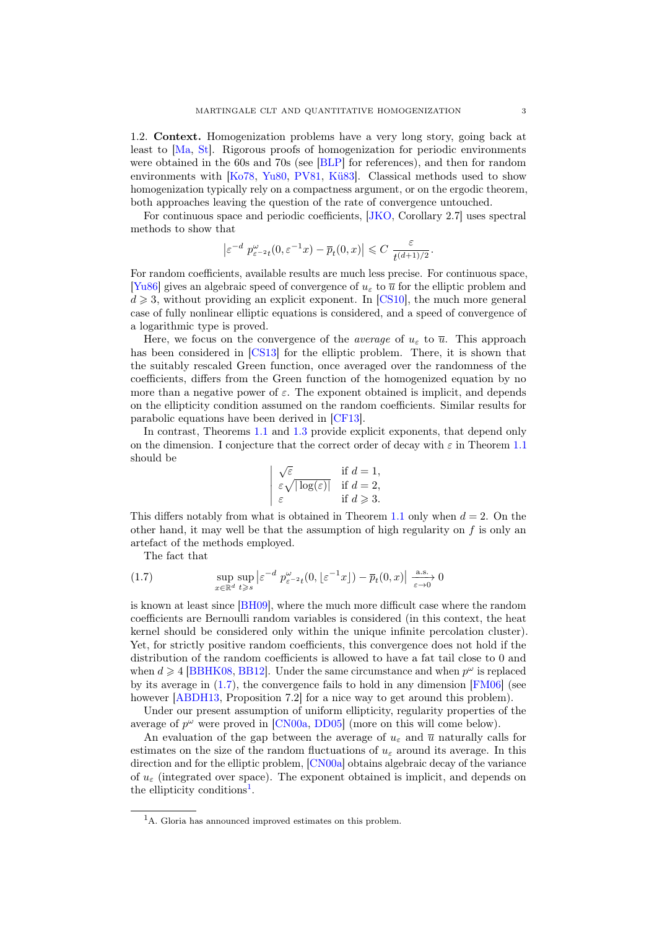1.2. Context. Homogenization problems have a very long story, going back at least to [\[Ma,](#page-24-0) [St\]](#page-24-1). Rigorous proofs of homogenization for periodic environments were obtained in the 60s and 70s (see [\[BLP\]](#page-23-1) for references), and then for random environments with [\[Ko78,](#page-24-2) [Yu80,](#page-25-0) [PV81,](#page-24-3) [Kü83\]](#page-24-4). Classical methods used to show homogenization typically rely on a compactness argument, or on the ergodic theorem, both approaches leaving the question of the rate of convergence untouched.

For continuous space and periodic coefficients, [\[JKO,](#page-24-5) Corollary 2.7] uses spectral methods to show that

$$
\left| \varepsilon^{-d} \ p^\omega_{\varepsilon^{-2} t}(0,\varepsilon^{-1} x) - \overline{p}_t(0,x) \right| \leqslant C \ \frac{\varepsilon}{t^{(d+1)/2}}.
$$

For random coefficients, available results are much less precise. For continuous space, [\[Yu86\]](#page-25-1) gives an algebraic speed of convergence of  $u<sub>\epsilon</sub>$  to  $\overline{u}$  for the elliptic problem and  $d \geq 3$ , without providing an explicit exponent. In [\[CS10\]](#page-23-2), the much more general case of fully nonlinear elliptic equations is considered, and a speed of convergence of a logarithmic type is proved.

Here, we focus on the convergence of the *average* of  $u_{\varepsilon}$  to  $\overline{u}$ . This approach has been considered in [\[CS13\]](#page-24-6) for the elliptic problem. There, it is shown that the suitably rescaled Green function, once averaged over the randomness of the coefficients, differs from the Green function of the homogenized equation by no more than a negative power of  $\varepsilon$ . The exponent obtained is implicit, and depends on the ellipticity condition assumed on the random coefficients. Similar results for parabolic equations have been derived in [\[CF13\]](#page-23-3).

In contrast, Theorems [1.1](#page-1-0) and [1.3](#page-1-3) provide explicit exponents, that depend only on the dimension. I conjecture that the correct order of decay with  $\varepsilon$  in Theorem [1.1](#page-1-0) should be √

$$
\begin{array}{ll}\n\sqrt{\varepsilon} & \text{if } d = 1, \\
\varepsilon \sqrt{|\log(\varepsilon)|} & \text{if } d = 2, \\
\varepsilon & \text{if } d \ge 3.\n\end{array}
$$

This differs notably from what is obtained in Theorem [1.1](#page-1-0) only when  $d = 2$ . On the other hand, it may well be that the assumption of high regularity on  $f$  is only an artefact of the methods employed.

<span id="page-2-0"></span>The fact that

(1.7) 
$$
\sup_{x \in \mathbb{R}^d} \sup_{t \ge s} |\varepsilon^{-d} p_{\varepsilon^{-2} t}^{\omega}(0, \lfloor \varepsilon^{-1} x \rfloor) - \overline{p}_t(0, x)| \xrightarrow[\varepsilon \to 0]{\text{a.s.}} 0
$$

is known at least since [\[BH09\]](#page-23-4), where the much more difficult case where the random coefficients are Bernoulli random variables is considered (in this context, the heat kernel should be considered only within the unique infinite percolation cluster). Yet, for strictly positive random coefficients, this convergence does not hold if the distribution of the random coefficients is allowed to have a fat tail close to 0 and when  $d \geq 4$  [\[BBHK08,](#page-23-5) [BB12\]](#page-23-6). Under the same circumstance and when  $p^{\omega}$  is replaced by its average in [\(1.7\)](#page-2-0), the convergence fails to hold in any dimension [\[FM06\]](#page-24-7) (see however [\[ABDH13,](#page-23-7) Proposition 7.2] for a nice way to get around this problem).

Under our present assumption of uniform ellipticity, regularity properties of the average of  $p^{\omega}$  were proved in [\[CN00a,](#page-23-8) [DD05\]](#page-24-8) (more on this will come below).

An evaluation of the gap between the average of  $u_{\varepsilon}$  and  $\overline{u}$  naturally calls for estimates on the size of the random fluctuations of  $u_{\varepsilon}$  around its average. In this direction and for the elliptic problem, [\[CN00a\]](#page-23-8) obtains algebraic decay of the variance of  $u_{\varepsilon}$  (integrated over space). The exponent obtained is implicit, and depends on the ellipticity conditions<sup>[1](#page-2-1)</sup>.

<span id="page-2-1"></span><sup>&</sup>lt;sup>1</sup>A. Gloria has announced improved estimates on this problem.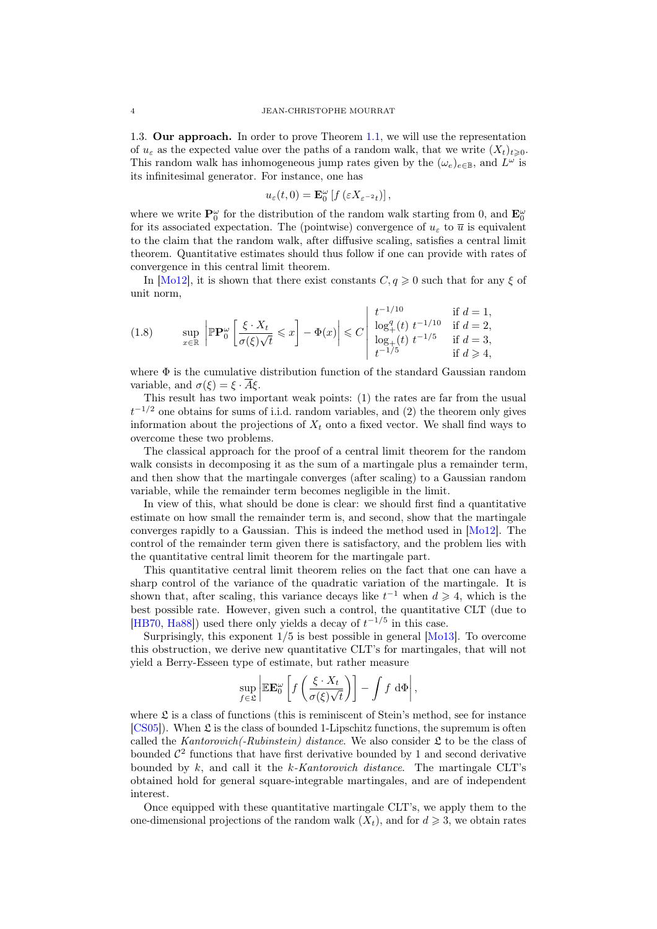1.3. Our approach. In order to prove Theorem [1.1,](#page-1-0) we will use the representation of  $u_{\varepsilon}$  as the expected value over the paths of a random walk, that we write  $(X_t)_{t\geq0}$ . This random walk has inhomogeneous jump rates given by the  $(\omega_e)_{e \in \mathbb{B}}$ , and  $L^{\omega}$  is its infinitesimal generator. For instance, one has

$$
u_{\varepsilon}(t,0) = \mathbf{E}^{\omega}_0 \left[ f \left( \varepsilon X_{\varepsilon^{-2} t} \right) \right],
$$

where we write  $\mathbf{P}_0^{\omega}$  for the distribution of the random walk starting from 0, and  $\mathbf{E}_0^{\omega}$ for its associated expectation. The (pointwise) convergence of  $u_{\varepsilon}$  to  $\overline{u}$  is equivalent to the claim that the random walk, after diffusive scaling, satisfies a central limit theorem. Quantitative estimates should thus follow if one can provide with rates of convergence in this central limit theorem.

In [\[Mo12\]](#page-24-9), it is shown that there exist constants  $C, q \geq 0$  such that for any  $\xi$  of unit norm,

$$
(1.8) \quad \sup_{x \in \mathbb{R}} \left| \mathbb{P} \mathbf{P}_0^{\omega} \left[ \frac{\xi \cdot X_t}{\sigma(\xi) \sqrt{t}} \leq x \right] - \Phi(x) \right| \leq C \left| \begin{array}{cc} t^{-1/10} & \text{if } d = 1, \\ \log_+^q(t) \ t^{-1/10} & \text{if } d = 2, \\ \log_+^r(t) \ t^{-1/5} & \text{if } d = 3, \\ t^{-1/5} & \text{if } d \geq 4, \end{array} \right.
$$

where  $\Phi$  is the cumulative distribution function of the standard Gaussian random variable, and  $\sigma(\xi) = \xi \cdot \overline{A} \xi$ .

This result has two important weak points: (1) the rates are far from the usual  $t^{-1/2}$  one obtains for sums of i.i.d. random variables, and (2) the theorem only gives information about the projections of  $X_t$  onto a fixed vector. We shall find ways to overcome these two problems.

The classical approach for the proof of a central limit theorem for the random walk consists in decomposing it as the sum of a martingale plus a remainder term, and then show that the martingale converges (after scaling) to a Gaussian random variable, while the remainder term becomes negligible in the limit.

In view of this, what should be done is clear: we should first find a quantitative estimate on how small the remainder term is, and second, show that the martingale converges rapidly to a Gaussian. This is indeed the method used in [\[Mo12\]](#page-24-9). The control of the remainder term given there is satisfactory, and the problem lies with the quantitative central limit theorem for the martingale part.

This quantitative central limit theorem relies on the fact that one can have a sharp control of the variance of the quadratic variation of the martingale. It is shown that, after scaling, this variance decays like  $t^{-1}$  when  $d \geq 4$ , which is the best possible rate. However, given such a control, the quantitative CLT (due to [\[HB70,](#page-24-10) [Ha88\]](#page-24-11)) used there only yields a decay of  $t^{-1/5}$  in this case.

Surprisingly, this exponent  $1/5$  is best possible in general  $[Mo13]$ . To overcome this obstruction, we derive new quantitative CLT's for martingales, that will not yield a Berry-Esseen type of estimate, but rather measure

$$
\sup_{f\in\mathfrak{L}}\left|\mathbb{E}\mathbf{E}_0^{\omega}\left[f\left(\frac{\xi\cdot X_t}{\sigma(\xi)\sqrt{t}}\right)\right]-\int f\,\mathrm{d}\Phi\right|,
$$

where  $\mathfrak L$  is a class of functions (this is reminiscent of Stein's method, see for instance [\[CS05\]](#page-23-9)). When  $\mathfrak L$  is the class of bounded 1-Lipschitz functions, the supremum is often called the Kantorovich(-Rubinstein) distance. We also consider  $\mathfrak L$  to be the class of bounded  $\mathcal{C}^2$  functions that have first derivative bounded by 1 and second derivative bounded by  $k$ , and call it the  $k$ -Kantorovich distance. The martingale CLT's obtained hold for general square-integrable martingales, and are of independent interest.

Once equipped with these quantitative martingale CLT's, we apply them to the one-dimensional projections of the random walk  $(X_t)$ , and for  $d \geqslant 3$ , we obtain rates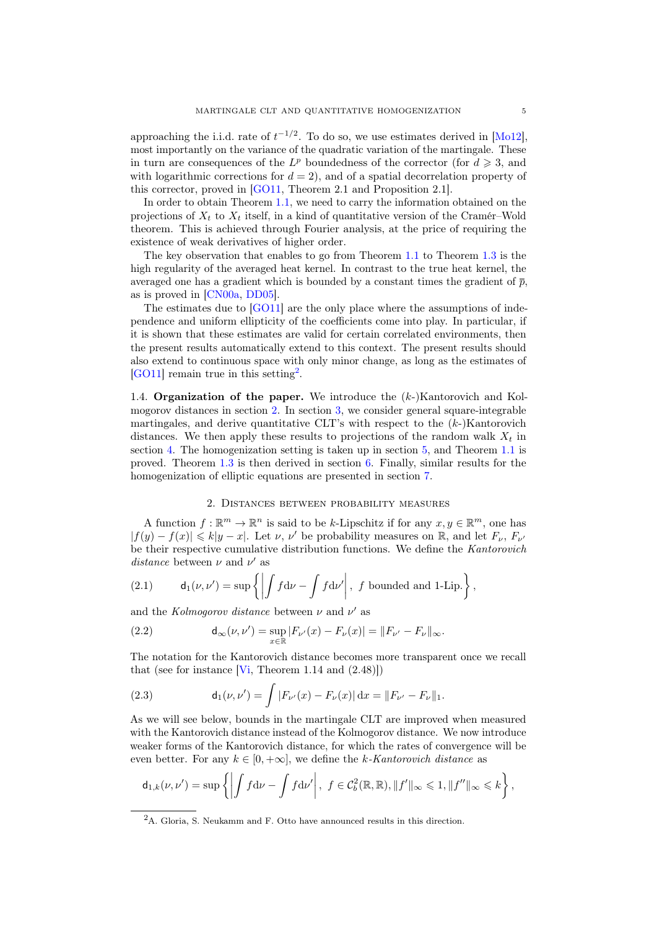approaching the i.i.d. rate of  $t^{-1/2}$ . To do so, we use estimates derived in [\[Mo12\]](#page-24-9), most importantly on the variance of the quadratic variation of the martingale. These in turn are consequences of the  $L^p$  boundedness of the corrector (for  $d \geq 3$ , and with logarithmic corrections for  $d = 2$ ), and of a spatial decorrelation property of this corrector, proved in [\[GO11,](#page-24-13) Theorem 2.1 and Proposition 2.1].

In order to obtain Theorem [1.1,](#page-1-0) we need to carry the information obtained on the projections of  $X_t$  to  $X_t$  itself, in a kind of quantitative version of the Cramér–Wold theorem. This is achieved through Fourier analysis, at the price of requiring the existence of weak derivatives of higher order.

The key observation that enables to go from Theorem [1.1](#page-1-0) to Theorem [1.3](#page-1-3) is the high regularity of the averaged heat kernel. In contrast to the true heat kernel, the averaged one has a gradient which is bounded by a constant times the gradient of  $\bar{p}$ , as is proved in [\[CN00a,](#page-23-8) [DD05\]](#page-24-8).

The estimates due to [\[GO11\]](#page-24-13) are the only place where the assumptions of independence and uniform ellipticity of the coefficients come into play. In particular, if it is shown that these estimates are valid for certain correlated environments, then the present results automatically extend to this context. The present results should also extend to continuous space with only minor change, as long as the estimates of [\[GO11\]](#page-24-13) remain true in this setting[2](#page-4-0) .

1.4. **Organization of the paper.** We introduce the  $(k-)$ Kantorovich and Kolmogorov distances in section [2.](#page-4-1) In section [3,](#page-5-0) we consider general square-integrable martingales, and derive quantitative CLT's with respect to the  $(k-)$ Kantorovich distances. We then apply these results to projections of the random walk  $X_t$  in section [4.](#page-9-0) The homogenization setting is taken up in section [5,](#page-12-0) and Theorem [1.1](#page-1-0) is proved. Theorem [1.3](#page-1-3) is then derived in section [6.](#page-16-0) Finally, similar results for the homogenization of elliptic equations are presented in section [7.](#page-20-2)

# 2. Distances between probability measures

<span id="page-4-1"></span>A function  $f : \mathbb{R}^m \to \mathbb{R}^n$  is said to be k-Lipschitz if for any  $x, y \in \mathbb{R}^m$ , one has  $|f(y) - f(x)| \leq k|y - x|$ . Let  $\nu, \nu'$  be probability measures on  $\mathbb{R}$ , and let  $F_{\nu}, F_{\nu'}$ be their respective cumulative distribution functions. We define the Kantorovich distance between  $\nu$  and  $\nu'$  as

(2.1) 
$$
\mathsf{d}_1(\nu,\nu') = \sup \left\{ \left| \int f \mathrm{d}\nu - \int f \mathrm{d}\nu' \right|, \ f \text{ bounded and } 1\text{-Lip.} \right\},\
$$

and the Kolmogorov distance between  $\nu$  and  $\nu'$  as

(2.2) 
$$
d_{\infty}(\nu, \nu') = \sup_{x \in \mathbb{R}} |F_{\nu'}(x) - F_{\nu}(x)| = ||F_{\nu'} - F_{\nu}||_{\infty}.
$$

The notation for the Kantorovich distance becomes more transparent once we recall that (see for instance  $[V_i, Theorem 1.14 and (2.48)]$ )

(2.3) 
$$
d_1(\nu, \nu') = \int |F_{\nu'}(x) - F_{\nu}(x)| dx = ||F_{\nu'} - F_{\nu}||_1.
$$

As we will see below, bounds in the martingale CLT are improved when measured with the Kantorovich distance instead of the Kolmogorov distance. We now introduce weaker forms of the Kantorovich distance, for which the rates of convergence will be even better. For any  $k \in [0, +\infty]$ , we define the k-Kantorovich distance as

$$
\mathsf{d}_{1,k}(\nu,\nu')=\sup\left\{\left|\int f\mathrm{d}\nu-\int f\mathrm{d}\nu'\right|,\ f\in\mathcal{C}_b^2(\mathbb{R},\mathbb{R}),\|f'\|_{\infty}\leqslant 1,\|f''\|_{\infty}\leqslant k\right\},\
$$

<span id="page-4-0"></span><sup>&</sup>lt;sup>2</sup>A. Gloria, S. Neukamm and F. Otto have announced results in this direction.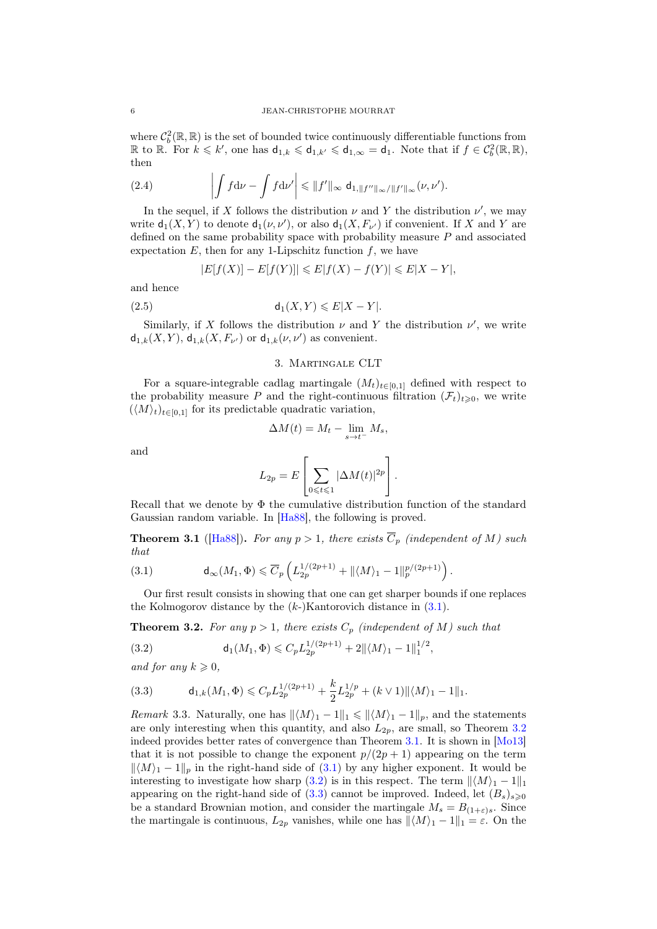where  $\mathcal{C}_b^2(\mathbb{R}, \mathbb{R})$  is the set of bounded twice continuously differentiable functions from R to R. For  $k \leq k'$ , one has  $d_{1,k} \leq d_{1,k'} \leq d_{1,\infty} = d_1$ . Note that if  $f \in C_b^2(\mathbb{R}, \mathbb{R})$ , then

<span id="page-5-7"></span>(2.4) 
$$
\left| \int f d\nu - \int f d\nu' \right| \leq \|f'\|_{\infty} d_{1, \|f''\|_{\infty}/\|f'\|_{\infty}}(\nu, \nu').
$$

In the sequel, if X follows the distribution  $\nu$  and Y the distribution  $\nu'$ , we may write  $d_1(X, Y)$  to denote  $d_1(\nu, \nu')$ , or also  $d_1(X, F_{\nu'})$  if convenient. If X and Y are defined on the same probability space with probability measure P and associated expectation  $E$ , then for any 1-Lipschitz function  $f$ , we have

$$
|E[f(X)] - E[f(Y)]| \leq E|f(X) - f(Y)| \leq E|X - Y|,
$$

and hence

$$
(2.5) \t\t d_1(X,Y) \leqslant E|X-Y|.
$$

Similarly, if X follows the distribution  $\nu$  and Y the distribution  $\nu'$ , we write  $d_{1,k}(X,Y)$ ,  $d_{1,k}(X, F_{\nu'})$  or  $d_{1,k}(\nu, \nu')$  as convenient.

# <span id="page-5-6"></span>3. Martingale CLT

<span id="page-5-0"></span>For a square-integrable cadlag martingale  $(M_t)_{t\in[0,1]}$  defined with respect to the probability measure P and the right-continuous filtration  $(\mathcal{F}_t)_{t\geqslant0}$ , we write  $(\langle M \rangle_t)_{t \in [0,1]}$  for its predictable quadratic variation,

$$
\Delta M(t) = M_t - \lim_{s \to t^-} M_s,
$$

and

$$
L_{2p} = E\left[\sum_{0 \leq t \leq 1} |\Delta M(t)|^{2p}\right].
$$

Recall that we denote by  $\Phi$  the cumulative distribution function of the standard Gaussian random variable. In [\[Ha88\]](#page-24-11), the following is proved.

<span id="page-5-3"></span>**Theorem 3.1** ([\[Ha88\]](#page-24-11)). For any  $p > 1$ , there exists  $\overline{C}_p$  (independent of M) such that

<span id="page-5-1"></span>(3.1) 
$$
\mathsf{d}_{\infty}(M_1,\Phi)\leqslant \overline{C}_p\left(L_{2p}^{1/(2p+1)}+\|\langle M\rangle_1-1\|_p^{p/(2p+1)}\right).
$$

Our first result consists in showing that one can get sharper bounds if one replaces the Kolmogorov distance by the  $(k-)$ Kantorovich distance in  $(3.1)$ .

<span id="page-5-2"></span>**Theorem 3.2.** For any  $p > 1$ , there exists  $C_p$  (independent of M) such that

<span id="page-5-4"></span>(3.2) 
$$
\mathsf{d}_1(M_1,\Phi) \leqslant C_p L_{2p}^{1/(2p+1)} + 2 \|\langle M \rangle_1 - 1\|_1^{1/2},
$$

and for any  $k \geqslant 0$ ,

<span id="page-5-5"></span>(3.3) 
$$
\mathsf{d}_{1,k}(M_1,\Phi) \leqslant C_p L_{2p}^{1/(2p+1)} + \frac{k}{2} L_{2p}^{1/p} + (k \vee 1) \|\langle M \rangle_1 - 1\|_1.
$$

*Remark* 3.3. Naturally, one has  $\|\langle M \rangle_1 - 1\|_1 \le \|\langle M \rangle_1 - 1\|_p$ , and the statements are only interesting when this quantity, and also  $L_{2p}$ , are small, so Theorem [3.2](#page-5-2) indeed provides better rates of convergence than Theorem [3.1.](#page-5-3) It is shown in [\[Mo13\]](#page-24-12) that it is not possible to change the exponent  $p/(2p+1)$  appearing on the term  $\| \langle M \rangle_1 - 1 \|_p$  in the right-hand side of [\(3.1\)](#page-5-1) by any higher exponent. It would be interesting to investigate how sharp [\(3.2\)](#page-5-4) is in this respect. The term  $\|\langle M\rangle_1 - 1\|_1$ appearing on the right-hand side of [\(3.3\)](#page-5-5) cannot be improved. Indeed, let  $(B_s)_{s\geq0}$ be a standard Brownian motion, and consider the martingale  $M_s = B_{(1+\epsilon)s}$ . Since the martingale is continuous,  $L_{2p}$  vanishes, while one has  $\|\langle M\rangle_1 - 1\|_1 = \varepsilon$ . On the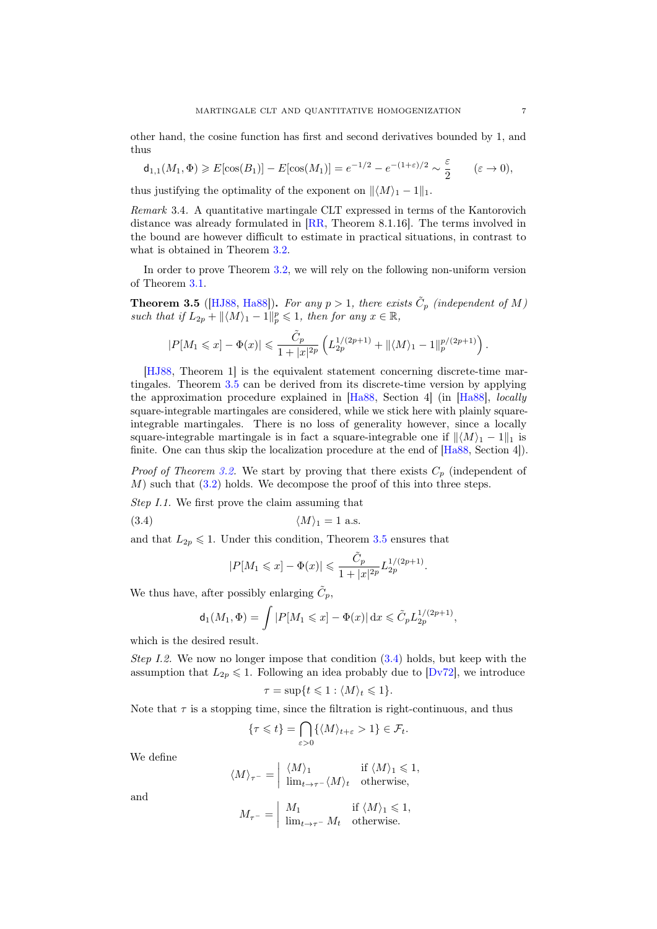other hand, the cosine function has first and second derivatives bounded by 1, and thus

$$
\mathsf{d}_{1,1}(M_1,\Phi)\geqslant E[\cos(B_1)]-E[\cos(M_1)]=e^{-1/2}-e^{-(1+\varepsilon)/2}\sim\frac{\varepsilon}{2}\qquad(\varepsilon\to 0),
$$

thus justifying the optimality of the exponent on  $||\langle M \rangle_1 - 1||_1$ .

Remark 3.4. A quantitative martingale CLT expressed in terms of the Kantorovich distance was already formulated in [\[RR,](#page-24-15) Theorem 8.1.16]. The terms involved in the bound are however difficult to estimate in practical situations, in contrast to what is obtained in Theorem [3.2.](#page-5-2)

In order to prove Theorem [3.2,](#page-5-2) we will rely on the following non-uniform version of Theorem [3.1.](#page-5-3)

<span id="page-6-0"></span>**Theorem 3.5** ([\[HJ88,](#page-24-16) [Ha88\]](#page-24-11)). For any  $p > 1$ , there exists  $\tilde{C}_p$  (independent of M) such that if  $L_{2p} + ||\langle M \rangle_1 - 1||_p^p \leq 1$ , then for any  $x \in \mathbb{R}$ ,

$$
|P[M_1\leqslant x]-\Phi(x)|\leqslant \frac{\tilde{C}_p}{1+|x|^{2p}}\left(L_{2p}^{1/(2p+1)}+\|\langle M\rangle_1-1\|_p^{p/(2p+1)}\right).
$$

[\[HJ88,](#page-24-16) Theorem 1] is the equivalent statement concerning discrete-time martingales. Theorem [3.5](#page-6-0) can be derived from its discrete-time version by applying the approximation procedure explained in [\[Ha88,](#page-24-11) Section 4] (in [\[Ha88\]](#page-24-11), locally square-integrable martingales are considered, while we stick here with plainly squareintegrable martingales. There is no loss of generality however, since a locally square-integrable martingale is in fact a square-integrable one if  $\| \langle M \rangle_1 - 1 \|_1$  is finite. One can thus skip the localization procedure at the end of  $[Ha88, Section 4]$  $[Ha88, Section 4]$ .

*Proof of Theorem [3.2.](#page-5-2)* We start by proving that there exists  $C_p$  (independent of M) such that [\(3.2\)](#page-5-4) holds. We decompose the proof of this into three steps.

Step I.1. We first prove the claim assuming that

$$
(3.4) \t\t \langle M \rangle_1 = 1 \text{ a.s.}
$$

and that  $L_{2p} \leq 1$ . Under this condition, Theorem [3.5](#page-6-0) ensures that

<span id="page-6-1"></span>
$$
|P[M_1\leqslant x]-\Phi(x)|\leqslant \frac{\tilde{C}_p}{1+|x|^{2p}}L_{2p}^{1/(2p+1)}.
$$

We thus have, after possibly enlarging  $\tilde{C}_p$ ,

$$
\mathsf{d}_1(M_1, \Phi) = \int |P[M_1 \leq x] - \Phi(x)| \, dx \leq \tilde{C}_p L_{2p}^{1/(2p+1)},
$$

which is the desired result.

*Step I.2.* We now no longer impose that condition  $(3.4)$  holds, but keep with the assumption that  $L_{2p} \leq 1$ . Following an idea probably due to  $Dv72$ , we introduce

$$
\tau = \sup\{t \leq 1 : \langle M \rangle_t \leq 1\}.
$$

Note that  $\tau$  is a stopping time, since the filtration is right-continuous, and thus

$$
\{\tau \leqslant t\} = \bigcap_{\varepsilon > 0} \{\langle M \rangle_{t+\varepsilon} > 1\} \in \mathcal{F}_t.
$$

We define

$$
\langle M \rangle_{\tau^-} = \begin{vmatrix} \langle M \rangle_1 & \text{if } \langle M \rangle_1 \leq 1, \\ \lim_{t \to \tau^-} \langle M \rangle_t & \text{otherwise,} \end{vmatrix}
$$

and

$$
M_{\tau^-} = \begin{vmatrix} M_1 & \text{if } \langle M \rangle_1 \leq 1, \\ \lim_{t \to \tau^-} M_t & \text{otherwise.} \end{vmatrix}
$$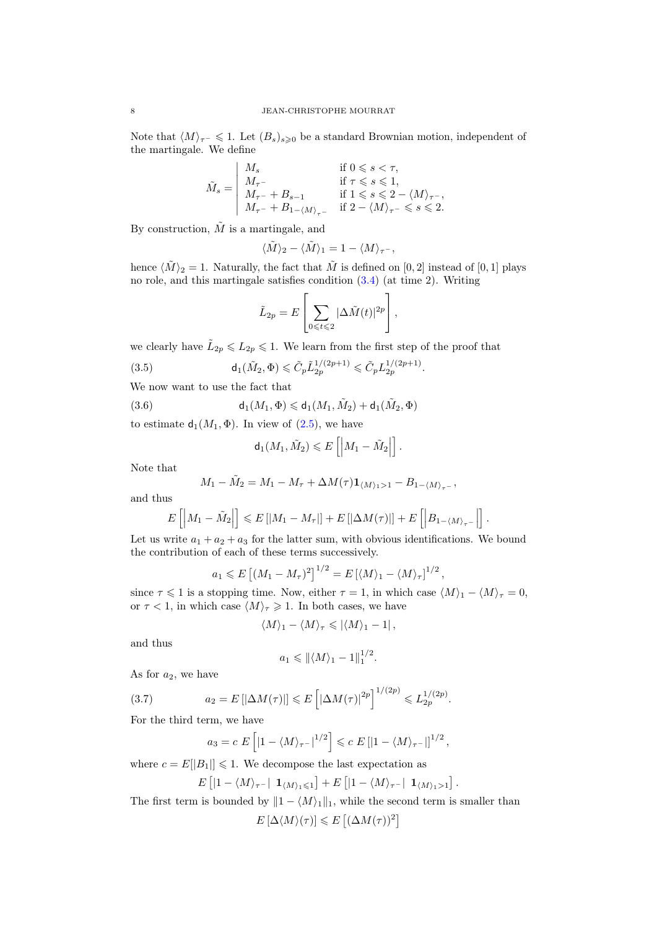Note that  $\langle M \rangle_{\tau^-}$  ≤ 1. Let  $(B_s)_{s>0}$  be a standard Brownian motion, independent of the martingale. We define

$$
\tilde{M}_s = \begin{vmatrix} M_s & \text{if } 0 \leqslant s < \tau, \\ M_{\tau^-} & \text{if } \tau \leqslant s \leqslant 1, \\ M_{\tau^-} + B_{s-1} & \text{if } 1 \leqslant s \leqslant 2 - \langle M \rangle_{\tau^-}, \\ M_{\tau^-} + B_{1 - \langle M \rangle_{\tau^-}} & \text{if } 2 - \langle M \rangle_{\tau^-} \leqslant s \leqslant 2. \end{vmatrix}
$$

By construction,  $\tilde{M}$  is a martingale, and

$$
\langle \tilde{M} \rangle_2 - \langle \tilde{M} \rangle_1 = 1 - \langle M \rangle_{\tau^-},
$$

hence  $\langle \tilde{M} \rangle_2 = 1$ . Naturally, the fact that  $\tilde{M}$  is defined on [0, 2] instead of [0, 1] plays no role, and this martingale satisfies condition [\(3.4\)](#page-6-1) (at time 2). Writing

<span id="page-7-1"></span>
$$
\tilde{L}_{2p} = E\left[\sum_{0 \leq t \leq 2} |\Delta \tilde{M}(t)|^{2p}\right],
$$

.

we clearly have  $\tilde{L}_{2p} \leqslant L_{2p} \leqslant 1$ . We learn from the first step of the proof that

(3.5) 
$$
\mathsf{d}_1(\tilde{M}_2, \Phi) \leq \tilde{C}_p \tilde{L}_{2p}^{1/(2p+1)} \leq \tilde{C}_p L_{2p}^{1/(2p+1)}
$$

We now want to use the fact that

(3.6) 
$$
\mathsf{d}_1(M_1,\Phi)\leqslant \mathsf{d}_1(M_1,\tilde{M}_2)+\mathsf{d}_1(\tilde{M}_2,\Phi)
$$

to estimate  $d_1(M_1, \Phi)$ . In view of  $(2.5)$ , we have

<span id="page-7-0"></span>
$$
\mathsf{d}_1(M_1,\tilde{M}_2)\leqslant E\left[\left|M_1-\tilde{M}_2\right|\right].
$$

Note that

$$
M_1 - \tilde{M}_2 = M_1 - M_\tau + \Delta M(\tau) \mathbf{1}_{\langle M \rangle_1 > 1} - B_{1 - \langle M \rangle_{\tau^-}},
$$

and thus

$$
E\left[\left|M_1-\tilde{M}_2\right|\right] \leqslant E\left[\left|M_1-M_{\tau}\right|\right]+E\left[\left|\Delta M(\tau)\right|\right]+E\left[\left|B_{1-\langle M\rangle_{\tau^-}}\right|\right].
$$

Let us write  $a_1 + a_2 + a_3$  for the latter sum, with obvious identifications. We bound the contribution of each of these terms successively.

$$
a_1 \leqslant E\left[ (M_1 - M_\tau)^2 \right]^{1/2} = E\left[ \langle M \rangle_1 - \langle M \rangle_\tau \right]^{1/2},
$$

since  $\tau \leq 1$  is a stopping time. Now, either  $\tau = 1$ , in which case  $\langle M \rangle_1 - \langle M \rangle_\tau = 0$ , or  $\tau < 1$ , in which case  $\langle M \rangle_{\tau} \geq 1$ . In both cases, we have

$$
\langle M\rangle_1-\langle M\rangle_\tau\leqslant|\langle M\rangle_1-1|\,,
$$

and thus

$$
a_1 \leq \|\langle M \rangle_1 - 1\|_1^{1/2}.
$$

As for  $a_2$ , we have

(3.7) 
$$
a_2 = E[|\Delta M(\tau)|] \leq E\left[|\Delta M(\tau)|^{2p}\right]^{1/(2p)} \leq L_{2p}^{1/(2p)}.
$$

For the third term, we have

<span id="page-7-2"></span>
$$
a_3 = c E \left[ \left| 1 - \langle M \rangle_{\tau^-} \right|^{1/2} \right] \leqslant c E \left[ \left| 1 - \langle M \rangle_{\tau^-} \right| \right]^{1/2},
$$

where  $c = E[|B_1|] \leq 1$ . We decompose the last expectation as

$$
E\left[|1-\langle M\rangle_{\tau^{-}}| \mathbf{1}_{\langle M\rangle_{1}\leqslant 1}\right]+E\left[|1-\langle M\rangle_{\tau^{-}}| \mathbf{1}_{\langle M\rangle_{1}>1}\right].
$$

The first term is bounded by  $||1 - \langle M \rangle_1||_1$ , while the second term is smaller than  $E[\Delta \langle M \rangle(\tau)] \leqslant E[(\Delta M(\tau))^2]$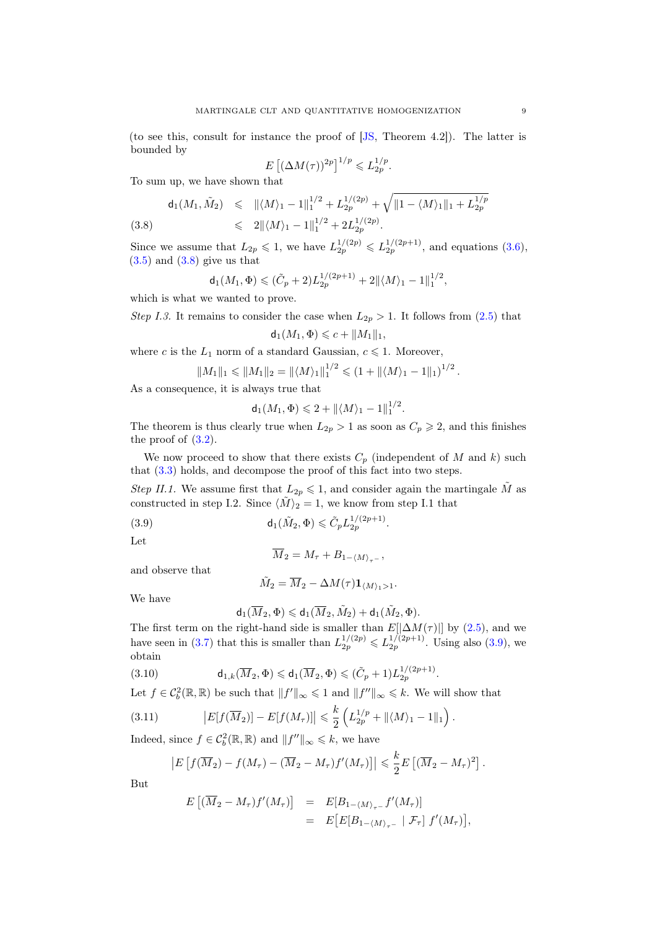(to see this, consult for instance the proof of [\[JS,](#page-24-18) Theorem 4.2]). The latter is bounded by

$$
E\left[ (\Delta M(\tau))^{2p} \right]^{1/p} \leqslant L_{2p}^{1/p}.
$$

To sum up, we have shown that

<span id="page-8-0"></span>
$$
\mathsf{d}_1(M_1, \tilde{M}_2) \leq \| \langle M \rangle_1 - 1 \|_1^{1/2} + L_{2p}^{1/(2p)} + \sqrt{\| 1 - \langle M \rangle_1 \|_1 + L_{2p}^{1/p}}.
$$

6 2khMi<sup>1</sup> − 1k 1/2 <sup>1</sup> + 2L 1/(2p) 2p (3.8) .

Since we assume that  $L_{2p} \leq 1$ , we have  $L_{2p}^{1/(2p)} \leq L_{2p}^{1/(2p+1)}$ , and equations [\(3.6\)](#page-7-0),  $(3.5)$  and  $(3.8)$  give us that

$$
\mathsf{d}_1(M_1,\Phi) \leqslant (\tilde{C}_p+2)L_{2p}^{1/(2p+1)}+2\|\langle M\rangle_1-1\|_1^{1/2},
$$

which is what we wanted to prove.

Step I.3. It remains to consider the case when  $L_{2p} > 1$ . It follows from [\(2.5\)](#page-5-6) that  $d_1(M_1, \Phi) \leqslant c + ||M_1||_1,$ 

where c is the  $L_1$  norm of a standard Gaussian,  $c \leq 1$ . Moreover,

$$
||M_1||_1 \le ||M_1||_2 = ||\langle M \rangle_1||_1^{1/2} \le (1 + ||\langle M \rangle_1 - 1||_1)^{1/2}.
$$

As a consequence, it is always true that

$$
d_1(M_1, \Phi) \leq 2 + ||\langle M \rangle_1 - 1||_1^{1/2}.
$$

The theorem is thus clearly true when  $L_{2p} > 1$  as soon as  $C_p \geq 2$ , and this finishes the proof of  $(3.2)$ .

We now proceed to show that there exists  $C_p$  (independent of M and k) such that [\(3.3\)](#page-5-5) holds, and decompose the proof of this fact into two steps.

Step II.1. We assume first that  $L_{2p} \leq 1$ , and consider again the martingale  $\tilde{M}$  as constructed in step I.2. Since  $\langle \tilde{M} \rangle_2 = 1$ , we know from step I.1 that

(3.9) 
$$
d_1(\tilde{M}_2, \Phi) \leq \tilde{C}_p L_{2p}^{1/(2p+1)}
$$

Let

<span id="page-8-1"></span>
$$
\overline{M}_2 = M_\tau + B_{1-\langle M \rangle_{\tau^-}},
$$

.

and observe that

$$
\tilde{M}_2 = \overline{M}_2 - \Delta M(\tau) \mathbf{1}_{\langle M \rangle_1 > 1}.
$$

We have

<span id="page-8-3"></span>
$$
\mathsf{d}_1(\overline{M}_2, \Phi) \leqslant \mathsf{d}_1(\overline{M}_2, \tilde{M}_2) + \mathsf{d}_1(\tilde{M}_2, \Phi).
$$

The first term on the right-hand side is smaller than  $E[|\Delta M(\tau)|]$  by [\(2.5\)](#page-5-6), and we have seen in [\(3.7\)](#page-7-2) that this is smaller than  $L_{2p}^{1/(2p)} \leqslant L_{2p}^{1/(2p+1)}$ . Using also [\(3.9\)](#page-8-1), we obtain

(3.10) 
$$
d_{1,k}(\overline{M}_2, \Phi) \leq d_1(\overline{M}_2, \Phi) \leq (\tilde{C}_p + 1)L_{2p}^{1/(2p+1)}.
$$

Let  $f \in C_b^2(\mathbb{R}, \mathbb{R})$  be such that  $||f'||_{\infty} \leq 1$  and  $||f''||_{\infty} \leq k$ . We will show that

(3.11) 
$$
|E[f(\overline{M}_2)] - E[f(M_\tau)]| \leq \frac{k}{2} \left( L_{2p}^{1/p} + ||\langle M \rangle_1 - 1||_1 \right).
$$

Indeed, since  $f \in \mathcal{C}_b^2(\mathbb{R}, \mathbb{R})$  and  $||f''||_{\infty} \le k$ , we have

<span id="page-8-2"></span>
$$
\left|E\left[f(\overline{M}_2)-f(M_\tau)-(\overline{M}_2-M_\tau)f'(M_\tau)\right]\right|\leqslant \frac{k}{2}E\left[(\overline{M}_2-M_\tau)^2\right].
$$

But

$$
E\left[ (\overline{M}_2 - M_\tau) f'(M_\tau) \right] = E[B_{1-\langle M \rangle_{\tau^-}} f'(M_\tau)]
$$
  
= 
$$
E\left[ E[B_{1-\langle M \rangle_{\tau^-}} \mid \mathcal{F}_\tau] f'(M_\tau) \right],
$$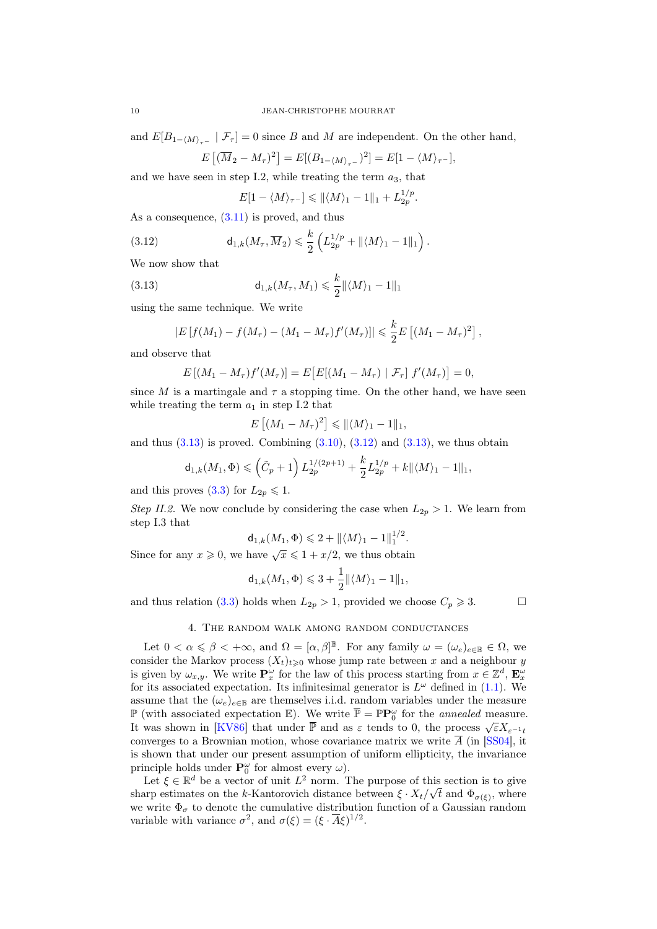and  $E[B_{1-\langle M \rangle_{\tau^-}} | \mathcal{F}_{\tau}] = 0$  since B and M are independent. On the other hand,

$$
E\left[\left(\overline{M}_2 - M_\tau\right)^2\right] = E[(B_{1-\langle M \rangle_{\tau^-}})^2] = E[1 - \langle M \rangle_{\tau^-}],
$$

and we have seen in step I.2, while treating the term  $a_3$ , that

<span id="page-9-2"></span><span id="page-9-1"></span>
$$
E[1-\langle M\rangle_{\tau^-}] \leq \|\langle M\rangle_1 - 1\|_1 + L_{2p}^{1/p}.
$$

As a consequence,  $(3.11)$  is proved, and thus

(3.12) 
$$
\mathsf{d}_{1,k}(M_\tau,\overline{M}_2)\leqslant \frac{k}{2}\left(L_{2p}^{1/p}+\|\langle M\rangle_1-1\|_1\right).
$$

We now show that

(3.13) 
$$
d_{1,k}(M_{\tau}, M_1) \leq \frac{k}{2} ||\langle M \rangle_1 - 1||_1
$$

using the same technique. We write

$$
|E[f(M_1) - f(M_\tau) - (M_1 - M_\tau)f'(M_\tau)]| \leq \frac{k}{2} E\left[ (M_1 - M_\tau)^2 \right],
$$

and observe that

$$
E[(M_1 - M_\tau) f'(M_\tau)] = E[E[(M_1 - M_\tau) | \mathcal{F}_\tau] f'(M_\tau)] = 0,
$$

since M is a martingale and  $\tau$  a stopping time. On the other hand, we have seen while treating the term  $a_1$  in step I.2 that

$$
E\left[ (M_1 - M_\tau)^2 \right] \leq \|\langle M \rangle_1 - 1\|_1,
$$

and thus  $(3.13)$  is proved. Combining  $(3.10)$ ,  $(3.12)$  and  $(3.13)$ , we thus obtain

$$
\mathsf{d}_{1,k}(M_1,\Phi) \leqslant \left(\tilde{C}_p + 1\right) L_{2p}^{1/(2p+1)} + \frac{k}{2} L_{2p}^{1/p} + k \|\langle M \rangle_1 - 1\|_1,
$$

and this proves [\(3.3\)](#page-5-5) for  $L_{2p} \leq 1$ .

Step II.2. We now conclude by considering the case when  $L_{2p} > 1$ . We learn from step I.3 that

$$
\mathsf{d}_{1,k}(M_1,\Phi) \leqslant 2 + \| \langle M \rangle_1 - 1 \|_1^{1/2}.
$$

Since for any  $x \ge 0$ , we have  $\sqrt{x} \le 1 + x/2$ , we thus obtain

$$
\mathsf{d}_{1,k}(M_1,\Phi)\leqslant 3+\frac{1}{2}\|\langle M\rangle_1-1\|_1,
$$

and thus relation [\(3.3\)](#page-5-5) holds when  $L_{2p} > 1$ , provided we choose  $C_p \ge 3$ .

#### 4. The random walk among random conductances

<span id="page-9-0"></span>Let  $0 < \alpha \leq \beta < +\infty$ , and  $\Omega = [\alpha, \beta]^{\mathbb{B}}$ . For any family  $\omega = (\omega_e)_{e \in \mathbb{B}} \in \Omega$ , we consider the Markov process  $(X_t)_{t\geq0}$  whose jump rate between x and a neighbour y is given by  $\omega_{x,y}$ . We write  $\mathbf{P}_x^{\omega}$  for the law of this process starting from  $x \in \mathbb{Z}^d$ ,  $\mathbf{E}_x^{\omega}$ for its associated expectation. Its infinitesimal generator is  $L^{\omega}$  defined in [\(1.1\)](#page-0-2). We assume that the  $(\omega_e)_{e \in \mathbb{B}}$  are themselves i.i.d. random variables under the measure  $\mathbb P$  (with associated expectation  $\mathbb E$ ). We write  $\overline{\mathbb P} = \mathbb P \mathbb P_0^{\omega}$  for the *annealed* measure. It was shown in [\[KV86\]](#page-24-19) that under  $\overline{\mathbb{P}}$  and as  $\varepsilon$  tends to 0, the process  $\sqrt{\varepsilon}X_{\varepsilon^{-1}t}$ converges to a Brownian motion, whose covariance matrix we write  $\overline{A}$  (in [\[SS04\]](#page-24-20), it is shown that under our present assumption of uniform ellipticity, the invariance principle holds under  $\mathbf{P}_0^{\omega}$  for almost every  $\omega$ ).

Let  $\xi \in \mathbb{R}^d$  be a vector of unit  $L^2$  norm. The purpose of this section is to give sharp estimates on the k-Kantorovich distance between  $\xi \cdot X_t / \sqrt{t}$  and  $\Phi_{\sigma(\xi)}$ , where we write  $\Phi_{\sigma}$  to denote the cumulative distribution function of a Gaussian random variable with variance  $\sigma^2$ , and  $\sigma(\xi) = (\xi \cdot \overline{A}\xi)^{1/2}$ .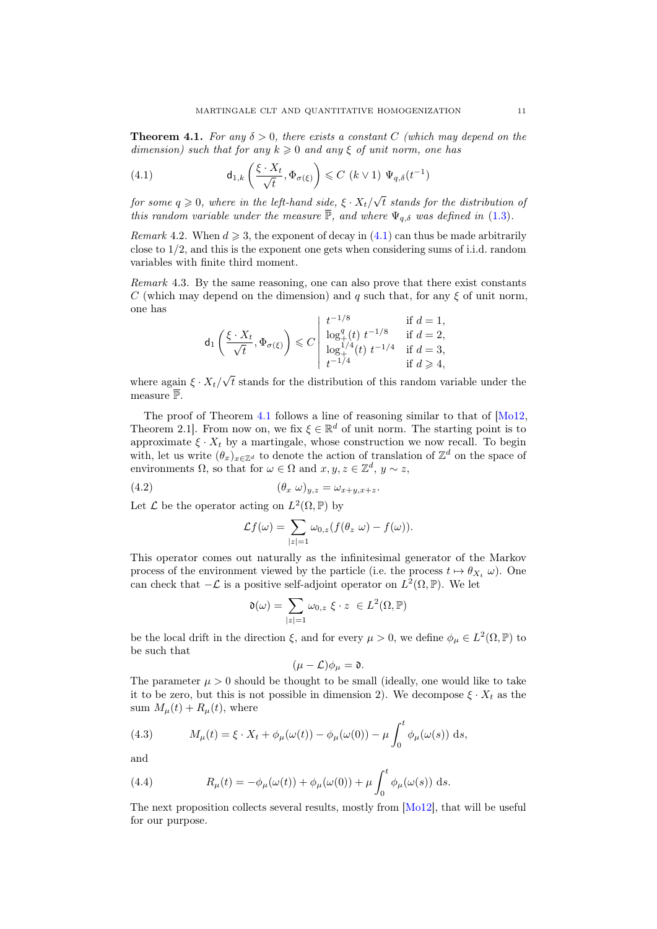<span id="page-10-1"></span>**Theorem 4.1.** For any  $\delta > 0$ , there exists a constant C (which may depend on the dimension) such that for any  $k \geq 0$  and any  $\xi$  of unit norm, one has

<span id="page-10-0"></span>(4.1) 
$$
\mathsf{d}_{1,k}\left(\frac{\xi \cdot X_t}{\sqrt{t}}, \Phi_{\sigma(\xi)}\right) \leqslant C\ (k \vee 1)\ \Psi_{q,\delta}(t^{-1})
$$

for some  $q \geqslant 0$ , where in the left-hand side,  $\xi \cdot X_t/\sqrt{ }$  $t$  stands for the distribution of this random variable under the measure  $\overline{\mathbb{P}}$ , and where  $\Psi_{q,\delta}$  was defined in [\(1.3\)](#page-1-4).

Remark 4.2. When  $d \geq 3$ , the exponent of decay in  $(4.1)$  can thus be made arbitrarily close to  $1/2$ , and this is the exponent one gets when considering sums of i.i.d. random variables with finite third moment.

Remark 4.3. By the same reasoning, one can also prove that there exist constants C (which may depend on the dimension) and q such that, for any  $\xi$  of unit norm, one has  $1/8$ 

$$
\mathsf{d}_1\left(\frac{\xi \cdot X_t}{\sqrt{t}}, \Phi_{\sigma(\xi)}\right) \leq C \left| \begin{array}{ll} t^{-1/8} & \text{if } d = 1, \\ \log_+^q(t) \ t^{-1/8} & \text{if } d = 2, \\ \log_+^{1/4}(t) \ t^{-1/4} & \text{if } d = 3, \\ t^{-1/4} & \text{if } d \geq 4, \end{array} \right.
$$

where again  $\xi \cdot X_t$ / √ t stands for the distribution of this random variable under the measure  $\bar{\mathbb{P}}$ .

The proof of Theorem [4.1](#page-10-1) follows a line of reasoning similar to that of [\[Mo12,](#page-24-9) Theorem 2.1. From now on, we fix  $\xi \in \mathbb{R}^d$  of unit norm. The starting point is to approximate  $\xi \cdot X_t$  by a martingale, whose construction we now recall. To begin with, let us write  $(\theta_x)_{x \in \mathbb{Z}^d}$  to denote the action of translation of  $\mathbb{Z}^d$  on the space of environments  $\Omega$ , so that for  $\omega \in \Omega$  and  $x, y, z \in \mathbb{Z}^d$ ,  $y \sim z$ ,

$$
(4.2) \qquad \qquad (\theta_x \ \omega)_{y,z} = \omega_{x+y,x+z}.
$$

Let  $\mathcal L$  be the operator acting on  $L^2(\Omega, \mathbb P)$  by

<span id="page-10-2"></span>
$$
\mathcal{L}f(\omega) = \sum_{|z|=1} \omega_{0,z}(f(\theta_z \ \omega) - f(\omega)).
$$

This operator comes out naturally as the infinitesimal generator of the Markov process of the environment viewed by the particle (i.e. the process  $t \mapsto \theta_{X_t} \omega$ ). One can check that  $-\mathcal{L}$  is a positive self-adjoint operator on  $L^2(\Omega, \mathbb{P})$ . We let

$$
\mathfrak{d}(\omega) = \sum_{|z|=1} \omega_{0,z} \xi \cdot z \ \in L^2(\Omega, \mathbb{P})
$$

be the local drift in the direction  $\xi$ , and for every  $\mu > 0$ , we define  $\phi_{\mu} \in L^2(\Omega, \mathbb{P})$  to be such that

$$
(\mu-\mathcal{L})\phi_{\mu}=\mathfrak{d}.
$$

The parameter  $\mu > 0$  should be thought to be small (ideally, one would like to take it to be zero, but this is not possible in dimension 2). We decompose  $\xi \cdot X_t$  as the sum  $M_{\mu}(t) + R_{\mu}(t)$ , where

(4.3) 
$$
M_{\mu}(t) = \xi \cdot X_t + \phi_{\mu}(\omega(t)) - \phi_{\mu}(\omega(0)) - \mu \int_0^t \phi_{\mu}(\omega(s)) ds,
$$

and

(4.4) 
$$
R_{\mu}(t) = -\phi_{\mu}(\omega(t)) + \phi_{\mu}(\omega(0)) + \mu \int_0^t \phi_{\mu}(\omega(s)) ds.
$$

The next proposition collects several results, mostly from [\[Mo12\]](#page-24-9), that will be useful for our purpose.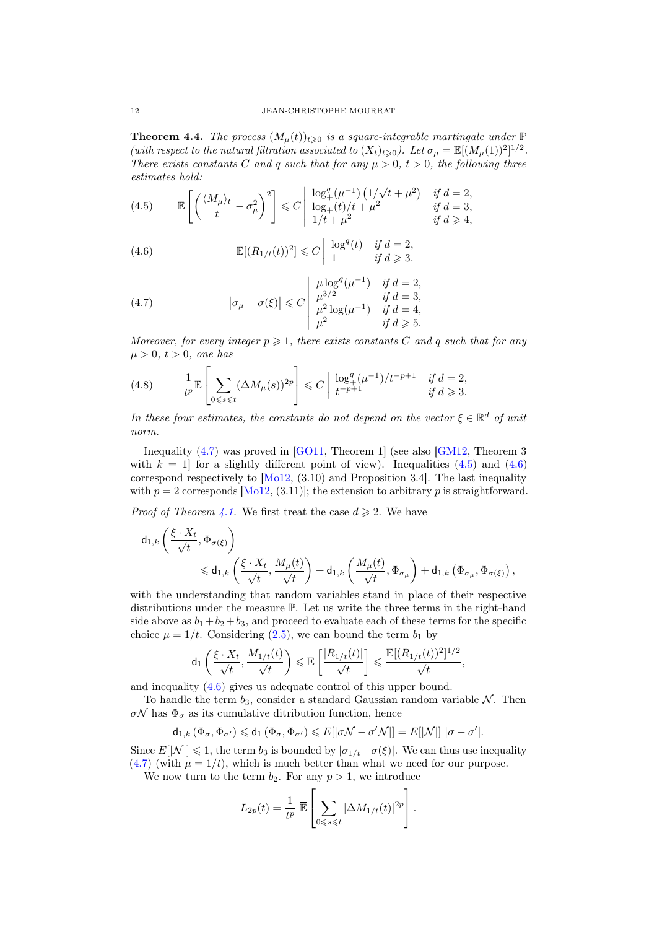**Theorem 4.4.** The process  $(M_{\mu}(t))_{t\geqslant0}$  is a square-integrable martingale under  $\overline{\mathbb{P}}$ (with respect to the natural filtration associated to  $(X_t)_{t\geqslant0}$ ). Let  $\sigma_\mu = \mathbb{E}[(M_\mu(1))^2]^{1/2}$ . There exists constants C and q such that for any  $\mu > 0$ ,  $t > 0$ , the following three estimates hold:

<span id="page-11-1"></span>(4.5) 
$$
\overline{\mathbb{E}}\left[\left(\frac{\langle M_{\mu}\rangle_t}{t} - \sigma_{\mu}^2\right)^2\right] \leq C \left|\begin{array}{cc} \log_+^q(\mu^{-1})\left(\frac{1}{\sqrt{t}} + \mu^2\right) & \text{if } d = 2, \\ \log_+(t)/t + \mu^2 & \text{if } d = 3, \\ \frac{1}{t} + \mu^2 & \text{if } d \geq 4, \end{array}\right.
$$

<span id="page-11-2"></span>(4.6) 
$$
\overline{\mathbb{E}}[(R_{1/t}(t))^2] \leq C \begin{vmatrix} \log^q(t) & \text{if } d = 2, \\ 1 & \text{if } d \geq 3. \end{vmatrix}
$$

<span id="page-11-0"></span>(4.7) 
$$
|\sigma_{\mu} - \sigma(\xi)| \leq C \begin{vmatrix} \mu \log^{q}(\mu^{-1}) & \text{if } d = 2, \\ \mu^{3/2} & \text{if } d = 3, \\ \mu^{2} \log(\mu^{-1}) & \text{if } d = 4, \\ \mu^{2} & \text{if } d \geq 5. \end{vmatrix}
$$

Moreover, for every integer  $p \geqslant 1$ , there exists constants C and q such that for any  $\mu > 0, t > 0$ , one has

<span id="page-11-3"></span>
$$
(4.8) \qquad \frac{1}{t^p} \overline{\mathbb{E}}\left[\sum_{0\leq s\leq t} (\Delta M_\mu(s))^{2p}\right] \leq C \left|\begin{array}{cc} \log_+^q (\mu^{-1})/t^{-p+1} & \text{if } d=2, \\ t^{-p+1} & \text{if } d\geqslant 3. \end{array}\right.
$$

In these four estimates, the constants do not depend on the vector  $\xi \in \mathbb{R}^d$  of unit norm.

Inequality [\(4.7\)](#page-11-0) was proved in [\[GO11,](#page-24-13) Theorem 1] (see also [\[GM12,](#page-24-21) Theorem 3 with  $k = 1$  for a slightly different point of view). Inequalities  $(4.5)$  and  $(4.6)$ correspond respectively to  $[M<sub>012</sub>, (3.10)$  and Proposition 3.4. The last inequality with  $p = 2$  corresponds [\[Mo12,](#page-24-9) (3.11)]; the extension to arbitrary p is straightforward.

*Proof of Theorem [4.1.](#page-10-1)* We first treat the case  $d \geq 2$ . We have

$$
\begin{aligned} \mathsf{d}_{1,k}\left(\frac{\xi\cdot X_t}{\sqrt{t}},\Phi_{\sigma(\xi)}\right)\\ &\quad\leqslant \mathsf{d}_{1,k}\left(\frac{\xi\cdot X_t}{\sqrt{t}},\frac{M_{\mu}(t)}{\sqrt{t}}\right)+\mathsf{d}_{1,k}\left(\frac{M_{\mu}(t)}{\sqrt{t}},\Phi_{\sigma_{\mu}}\right)+\mathsf{d}_{1,k}\left(\Phi_{\sigma_{\mu}},\Phi_{\sigma(\xi)}\right), \end{aligned}
$$

with the understanding that random variables stand in place of their respective distributions under the measure  $\overline{P}$ . Let us write the three terms in the right-hand side above as  $b_1 + b_2 + b_3$ , and proceed to evaluate each of these terms for the specific choice  $\mu = 1/t$ . Considering [\(2.5\)](#page-5-6), we can bound the term  $b_1$  by

$$
\mathsf{d}_1\left(\frac{\xi\cdot X_t}{\sqrt{t}},\frac{M_{1/t}(t)}{\sqrt{t}}\right)\leqslant \overline{\mathbb{E}}\left[\frac{|R_{1/t}(t)|}{\sqrt{t}}\right]\leqslant \frac{\overline{\mathbb{E}}[(R_{1/t}(t))^2]^{1/2}}{\sqrt{t}},
$$

and inequality [\(4.6\)](#page-11-2) gives us adequate control of this upper bound.

To handle the term  $b_3$ , consider a standard Gaussian random variable  $\mathcal N$ . Then σ $\mathcal{N}$  has  $\Phi_{\sigma}$  as its cumulative ditribution function, hence

$$
\mathsf{d}_{1,k}\left(\Phi_{\sigma},\Phi_{\sigma'}\right)\leqslant \mathsf{d}_{1}\left(\Phi_{\sigma},\Phi_{\sigma'}\right)\leqslant E[|\sigma\mathcal{N}-\sigma'\mathcal{N}|]=E[|\mathcal{N}|]~|\sigma-\sigma'|.
$$

Since  $E[|\mathcal{N}|] \leq 1$ , the term  $b_3$  is bounded by  $|\sigma_{1/t} - \sigma(\xi)|$ . We can thus use inequality [\(4.7\)](#page-11-0) (with  $\mu = 1/t$ ), which is much better than what we need for our purpose.

We now turn to the term  $b_2$ . For any  $p > 1$ , we introduce

$$
L_{2p}(t) = \frac{1}{t^p} \overline{\mathbb{E}} \left[ \sum_{0 \leq s \leq t} |\Delta M_{1/t}(t)|^{2p} \right].
$$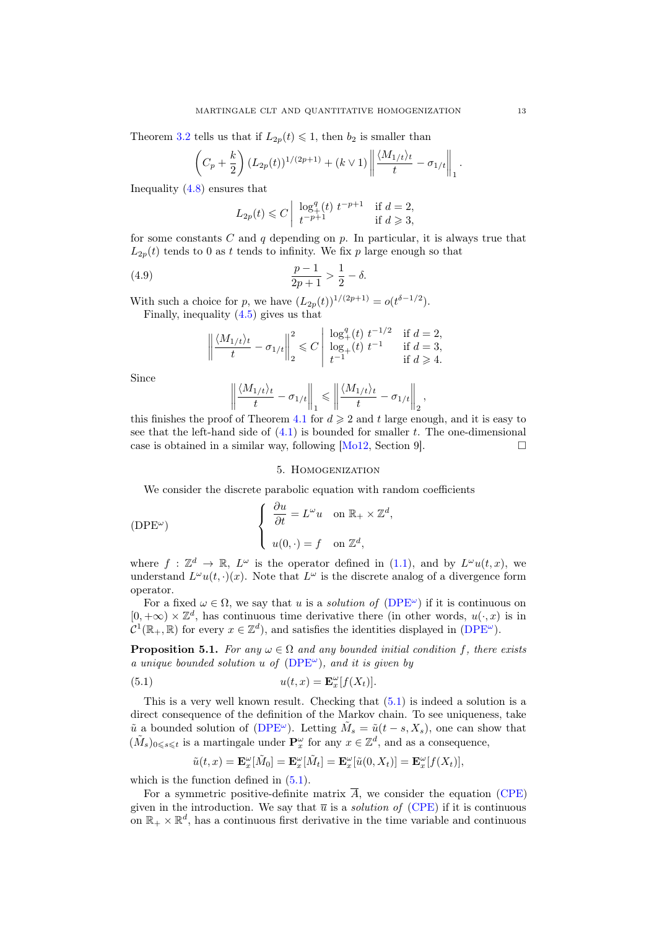Theorem [3.2](#page-5-2) tells us that if  $L_{2p}(t) \leq 1$ , then  $b_2$  is smaller than

$$
\left(C_p + \frac{k}{2}\right) (L_{2p}(t))^{1/(2p+1)} + (k \vee 1) \left\| \frac{\langle M_{1/t} \rangle_t}{t} - \sigma_{1/t} \right\|_1.
$$

Inequality [\(4.8\)](#page-11-3) ensures that

$$
L_{2p}(t) \leq C \left| \begin{array}{ll} \log_+^q(t) \ t^{-p+1} & \text{if } d=2, \\ t^{-p+1} & \text{if } d \geqslant 3, \end{array} \right.
$$

for some constants C and q depending on p. In particular, it is always true that  $L_{2p}(t)$  tends to 0 as t tends to infinity. We fix p large enough so that

(4.9) 
$$
\frac{p-1}{2p+1} > \frac{1}{2} - \delta.
$$

With such a choice for p, we have  $(L_{2p}(t))^{1/(2p+1)} = o(t^{\delta - 1/2}).$ Finally, inequality [\(4.5\)](#page-11-1) gives us that

$$
\left\| \frac{\langle M_{1/t} \rangle_t}{t} - \sigma_{1/t} \right\|_2^2 \leqslant C \left\| \begin{array}{cl} \log_+^q(t) \hspace{0.1cm} t^{-1/2} & \text{if} \hspace{0.1cm} d = 2, \\ \log_+ (t) \hspace{0.1cm} t^{-1} & \text{if} \hspace{0.1cm} d = 3, \\ t^{-1} & \text{if} \hspace{0.1cm} d \geqslant 4. \end{array} \right.
$$

Since

$$
\left\|\frac{\langle M_{1/t}\rangle_t}{t} - \sigma_{1/t}\right\|_1 \leqslant \left\|\frac{\langle M_{1/t}\rangle_t}{t} - \sigma_{1/t}\right\|_2,
$$

this finishes the proof of Theorem [4.1](#page-10-1) for  $d \geqslant 2$  and t large enough, and it is easy to see that the left-hand side of  $(4.1)$  is bounded for smaller t. The one-dimensional case is obtained in a similar way, following  $[Mo12, Section 9]$  $[Mo12, Section 9]$ .

## 5. Homogenization

<span id="page-12-0"></span>We consider the discrete parabolic equation with random coefficients

<span id="page-12-1"></span>(DPE<sup>$$
\omega
$$</sup>) 
$$
\begin{cases} \frac{\partial u}{\partial t} = L^{\omega} u & \text{on } \mathbb{R}_{+} \times \mathbb{Z}^{d}, \\ u(0, \cdot) = f & \text{on } \mathbb{Z}^{d}, \end{cases}
$$

where  $f: \mathbb{Z}^d \to \mathbb{R}$ ,  $L^{\omega}$  is the operator defined in [\(1.1\)](#page-0-2), and by  $L^{\omega}u(t,x)$ , we understand  $L^{\omega}u(t,\cdot)(x)$ . Note that  $L^{\omega}$  is the discrete analog of a divergence form operator.

For a fixed  $\omega \in \Omega$ , we say that u is a *solution of* [\(DPE](#page-12-1)<sup> $\omega$ </sup>) if it is continuous on  $[0, +\infty) \times \mathbb{Z}^d$ , has continuous time derivative there (in other words,  $u(\cdot, x)$ ) is in  $\mathcal{C}^1(\mathbb{R}_+, \mathbb{R})$  for every  $x \in \mathbb{Z}^d$ , and satisfies the identities displayed in [\(DPE](#page-12-1)<sup> $\omega$ </sup>).

<span id="page-12-3"></span>**Proposition 5.1.** For any  $\omega \in \Omega$  and any bounded initial condition f, there exists a unique bounded solution u of  $(DPE^{\omega})$  $(DPE^{\omega})$ , and it is given by

(5.1) 
$$
u(t,x) = \mathbf{E}_x^{\omega}[f(X_t)].
$$

This is a very well known result. Checking that [\(5.1\)](#page-12-2) is indeed a solution is a direct consequence of the definition of the Markov chain. To see uniqueness, take  $\tilde{u}$  a bounded solution of [\(DPE](#page-12-1)<sup>ω</sup>). Letting  $\tilde{M}_s = \tilde{u}(t-s, X_s)$ , one can show that  $(\tilde{M}_s)_{0\leq s\leq t}$  is a martingale under  $\mathbf{P}_x^{\omega}$  for any  $x\in\mathbb{Z}^d$ , and as a consequence,

<span id="page-12-2"></span>
$$
\tilde{u}(t,x) = \mathbf{E}_x^{\omega}[\tilde{M}_0] = \mathbf{E}_x^{\omega}[\tilde{M}_t] = \mathbf{E}_x^{\omega}[\tilde{u}(0,X_t)] = \mathbf{E}_x^{\omega}[f(X_t)],
$$

which is the function defined in  $(5.1)$ .

For a symmetric positive-definite matrix  $\overline{A}$ , we consider the equation [\(CPE\)](#page-0-1) given in the introduction. We say that  $\bar{u}$  is a *solution of* [\(CPE\)](#page-0-1) if it is continuous on  $\mathbb{R}_+ \times \mathbb{R}^d$ , has a continuous first derivative in the time variable and continuous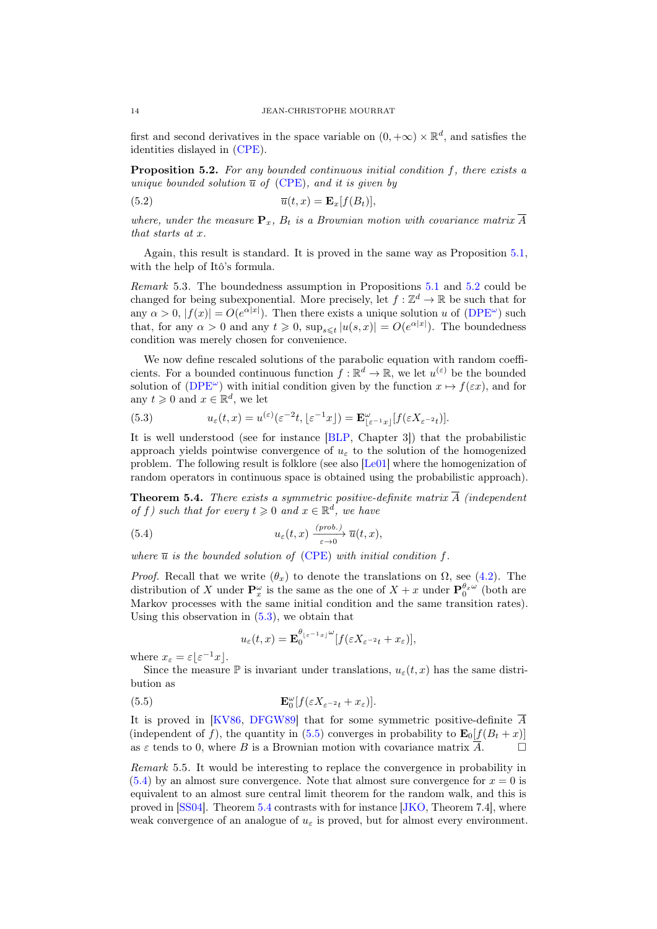first and second derivatives in the space variable on  $(0, +\infty) \times \mathbb{R}^d$ , and satisfies the identities dislayed in [\(CPE\)](#page-0-1).

<span id="page-13-0"></span>Proposition 5.2. For any bounded continuous initial condition f, there exists a unique bounded solution  $\overline{u}$  of [\(CPE\)](#page-0-1), and it is given by

(5.2) 
$$
\overline{u}(t,x) = \mathbf{E}_x[f(B_t)],
$$

where, under the measure  $\mathbf{P}_x$ ,  $B_t$  is a Brownian motion with covariance matrix  $\overline{A}$ that starts at x.

Again, this result is standard. It is proved in the same way as Proposition [5.1,](#page-12-3) with the help of Itô's formula.

Remark 5.3. The boundedness assumption in Propositions [5.1](#page-12-3) and [5.2](#page-13-0) could be changed for being subexponential. More precisely, let  $f : \mathbb{Z}^d \to \mathbb{R}$  be such that for any  $\alpha > 0$ ,  $|f(x)| = O(e^{\alpha|x|})$ . Then there exists a unique solution u of  $(DPE^{\omega})$  $(DPE^{\omega})$  such that, for any  $\alpha > 0$  and any  $t \geq 0$ ,  $\sup_{s \leq t} |u(s, x)| = O(e^{\alpha |x|})$ . The boundedness condition was merely chosen for convenience.

We now define rescaled solutions of the parabolic equation with random coefficients. For a bounded continuous function  $f : \mathbb{R}^d \to \mathbb{R}$ , we let  $u^{(\varepsilon)}$  be the bounded solution of [\(DPE](#page-12-1)<sup> $\omega$ </sup>) with initial condition given by the function  $x \mapsto f(\varepsilon x)$ , and for any  $t \geq 0$  and  $x \in \mathbb{R}^d$ , we let

<span id="page-13-1"></span>(5.3) 
$$
u_{\varepsilon}(t,x) = u^{(\varepsilon)}(\varepsilon^{-2}t, \lfloor \varepsilon^{-1}x \rfloor) = \mathbf{E}_{\lfloor \varepsilon^{-1}x \rfloor}^{\omega} [f(\varepsilon X_{\varepsilon^{-2}t})].
$$

It is well understood (see for instance [\[BLP,](#page-23-1) Chapter 3]) that the probabilistic approach yields pointwise convergence of  $u_{\varepsilon}$  to the solution of the homogenized problem. The following result is folklore (see also [\[Le01\]](#page-24-22) where the homogenization of random operators in continuous space is obtained using the probabilistic approach).

<span id="page-13-4"></span>**Theorem 5.4.** There exists a symmetric positive-definite matrix  $\overline{A}$  (independent of f) such that for every  $t \geq 0$  and  $x \in \mathbb{R}^d$ , we have

(5.4) 
$$
u_{\varepsilon}(t,x) \xrightarrow[\varepsilon \to 0]{} \overline{u}(t,x),
$$

where  $\overline{u}$  is the bounded solution of [\(CPE\)](#page-0-1) with initial condition f.

*Proof.* Recall that we write  $(\theta_x)$  to denote the translations on  $\Omega$ , see [\(4.2\)](#page-10-2). The distribution of X under  $\mathbf{P}_x^{\omega}$  is the same as the one of  $X + x$  under  $\mathbf{P}_0^{\theta_x \omega}$  (both are Markov processes with the same initial condition and the same transition rates). Using this observation in  $(5.3)$ , we obtain that

<span id="page-13-3"></span><span id="page-13-2"></span>
$$
u_{\varepsilon}(t,x) = \mathbf{E}_0^{\theta_{\lfloor \varepsilon^{-1} x \rfloor}} \omega \left[ f(\varepsilon X_{\varepsilon^{-2} t} + x_{\varepsilon}) \right],
$$

where  $x_{\varepsilon} = \varepsilon \lfloor \varepsilon^{-1} x \rfloor$ .

Since the measure  $\mathbb P$  is invariant under translations,  $u_{\varepsilon}(t, x)$  has the same distribution as

(5.5) 
$$
\mathbf{E}_{0}^{\omega}[f(\varepsilon X_{\varepsilon^{-2}t}+x_{\varepsilon})].
$$

It is proved in [\[KV86,](#page-24-19) [DFGW89\]](#page-24-23) that for some symmetric positive-definite  $\overline{A}$ (independent of f), the quantity in [\(5.5\)](#page-13-2) converges in probability to  $\mathbf{E}_0[f(B_t + x)]$ as  $\varepsilon$  tends to 0, where B is a Brownian motion with covariance matrix  $\overline{A}$ .

Remark 5.5. It would be interesting to replace the convergence in probability in  $(5.4)$  by an almost sure convergence. Note that almost sure convergence for  $x = 0$  is equivalent to an almost sure central limit theorem for the random walk, and this is proved in [\[SS04\]](#page-24-20). Theorem [5.4](#page-13-4) contrasts with for instance [\[JKO,](#page-24-5) Theorem 7.4], where weak convergence of an analogue of  $u_{\varepsilon}$  is proved, but for almost every environment.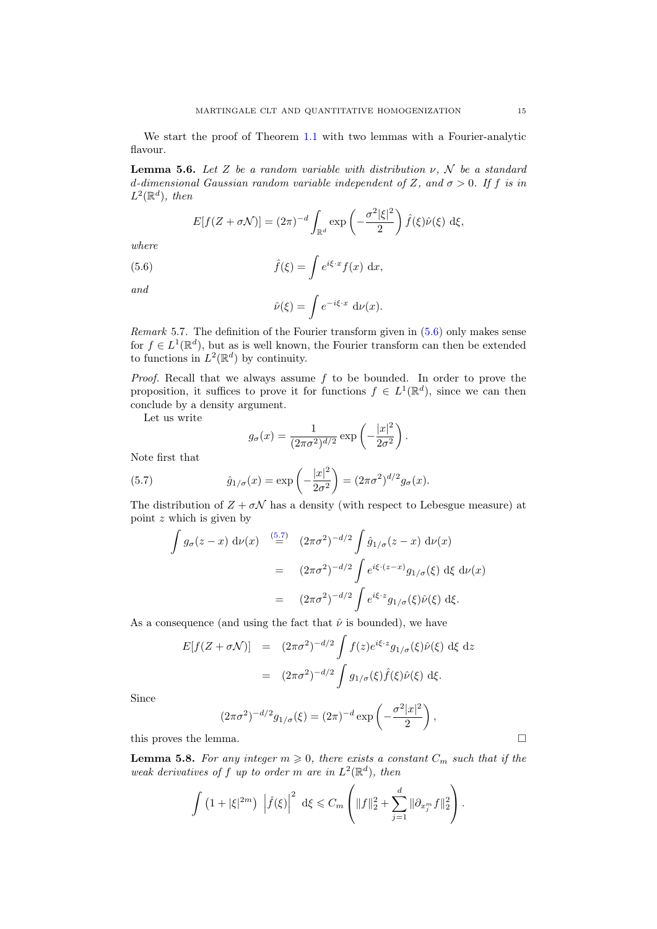We start the proof of Theorem [1.1](#page-1-0) with two lemmas with a Fourier-analytic flavour.

<span id="page-14-2"></span>**Lemma 5.6.** Let Z be a random variable with distribution  $\nu$ , N be a standard d-dimensional Gaussian random variable independent of Z, and  $\sigma > 0$ . If f is in  $L^2(\mathbb{R}^d)$ , then

$$
E[f(Z+\sigma\mathcal{N})] = (2\pi)^{-d} \int_{\mathbb{R}^d} \exp\left(-\frac{\sigma^2 |\xi|^2}{2}\right) \hat{f}(\xi) \hat{\nu}(\xi) \,d\xi,
$$

where

(5.6) 
$$
\hat{f}(\xi) = \int e^{i\xi \cdot x} f(x) dx,
$$

and

<span id="page-14-0"></span>
$$
\hat{\nu}(\xi) = \int e^{-i\xi \cdot x} \, \mathrm{d}\nu(x).
$$

*Remark* 5.7. The definition of the Fourier transform given in  $(5.6)$  only makes sense for  $f \in L^1(\mathbb{R}^d)$ , but as is well known, the Fourier transform can then be extended to functions in  $L^2(\mathbb{R}^d)$  by continuity.

*Proof.* Recall that we always assume  $f$  to be bounded. In order to prove the proposition, it suffices to prove it for functions  $f \in L^1(\mathbb{R}^d)$ , since we can then conclude by a density argument.

Let us write

<span id="page-14-1"></span>
$$
g_{\sigma}(x) = \frac{1}{(2\pi\sigma^2)^{d/2}} \exp\left(-\frac{|x|^2}{2\sigma^2}\right).
$$

Note first that

(5.7) 
$$
\hat{g}_{1/\sigma}(x) = \exp\left(-\frac{|x|^2}{2\sigma^2}\right) = (2\pi\sigma^2)^{d/2}g_\sigma(x).
$$

The distribution of  $Z + \sigma \mathcal{N}$  has a density (with respect to Lebesgue measure) at point z which is given by

$$
\int g_{\sigma}(z-x) d\nu(x) \stackrel{(5.7)}{=} (2\pi\sigma^2)^{-d/2} \int \hat{g}_{1/\sigma}(z-x) d\nu(x)
$$

$$
= (2\pi\sigma^2)^{-d/2} \int e^{i\xi \cdot (z-x)} g_{1/\sigma}(\xi) d\xi d\nu(x)
$$

$$
= (2\pi\sigma^2)^{-d/2} \int e^{i\xi \cdot z} g_{1/\sigma}(\xi) \hat{\nu}(\xi) d\xi.
$$

As a consequence (and using the fact that  $\hat{\nu}$  is bounded), we have

$$
E[f(Z + \sigma \mathcal{N})] = (2\pi\sigma^2)^{-d/2} \int f(z)e^{i\xi \cdot z} g_{1/\sigma}(\xi) \hat{\nu}(\xi) d\xi dz
$$
  

$$
= (2\pi\sigma^2)^{-d/2} \int g_{1/\sigma}(\xi) \hat{f}(\xi) \hat{\nu}(\xi) d\xi.
$$

Since

$$
(2\pi\sigma^2)^{-d/2}g_{1/\sigma}(\xi) = (2\pi)^{-d}\exp\left(-\frac{\sigma^2|x|^2}{2}\right),
$$
 this proves the lemma.

 $\lambda$ 

<span id="page-14-3"></span>**Lemma 5.8.** For any integer  $m \geq 0$ , there exists a constant  $C_m$  such that if the weak derivatives of f up to order m are in  $L^2(\mathbb{R}^d)$ , then

$$
\int (1+|\xi|^{2m}) \left| \hat{f}(\xi) \right|^2 d\xi \leq C_m \left( \|f\|_2^2 + \sum_{j=1}^d \|\partial_{x_j^m} f\|_2^2 \right).
$$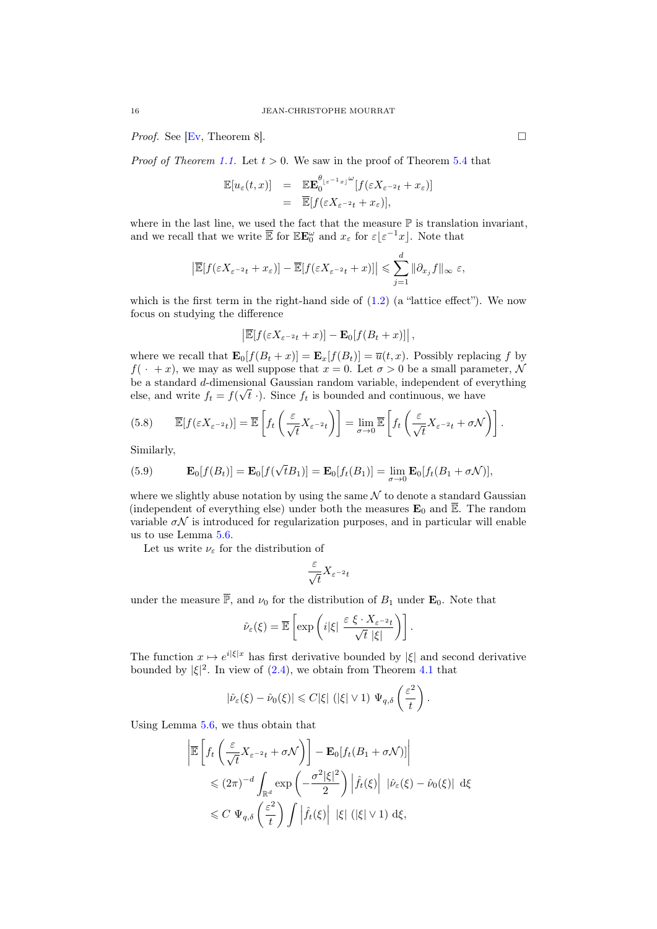*Proof.* See [\[Ev,](#page-24-24) Theorem 8].

*Proof of Theorem [1.1.](#page-1-0)* Let  $t > 0$ . We saw in the proof of Theorem [5.4](#page-13-4) that

$$
\mathbb{E}[u_{\varepsilon}(t,x)] = \mathbb{E} \mathbb{E}_{0}^{\theta_{\lfloor \varepsilon^{-1} x \rfloor}} \mathbb{E}[f(\varepsilon X_{\varepsilon^{-2} t} + x_{\varepsilon})]
$$
  
=  $\mathbb{E}[f(\varepsilon X_{\varepsilon^{-2} t} + x_{\varepsilon})],$ 

where in the last line, we used the fact that the measure  $\mathbb P$  is translation invariant, and we recall that we write  $\overline{\mathbb{E}}$  for  $\mathbb{E} \mathbf{E}^{\omega}_0$  and  $x_{\varepsilon}$  for  $\varepsilon \lfloor \varepsilon^{-1} x \rfloor$ . Note that

$$
\left|\overline{\mathbb{E}}[f(\varepsilon X_{\varepsilon^{-2}t}+x_{\varepsilon})]-\overline{\mathbb{E}}[f(\varepsilon X_{\varepsilon^{-2}t}+x)]\right|\leqslant \sum_{j=1}^d\|\partial_{x_j}f\|_{\infty}\varepsilon,
$$

which is the first term in the right-hand side of  $(1.2)$  (a "lattice effect"). We now focus on studying the difference

$$
\left|\overline{\mathbb{E}}[f(\varepsilon X_{\varepsilon^{-2}t}+x)]-\mathbf{E}_0[f(B_t+x)]\right|,
$$

where we recall that  $\mathbf{E}_0[f(B_t + x)] = \mathbf{E}_x[f(B_t)] = \overline{u}(t, x)$ . Possibly replacing f by  $f(\cdot + x)$ , we may as well suppose that  $x = 0$ . Let  $\sigma > 0$  be a small parameter, N be a standard d-dimensional Gaussian random variable, independent of everything √ else, and write  $f_t = f(\sqrt{t})$ . Since  $f_t$  is bounded and continuous, we have

<span id="page-15-0"></span>(5.8) 
$$
\overline{\mathbb{E}}[f(\varepsilon X_{\varepsilon^{-2}t})] = \overline{\mathbb{E}}\left[f_t\left(\frac{\varepsilon}{\sqrt{t}}X_{\varepsilon^{-2}t}\right)\right] = \lim_{\sigma \to 0} \overline{\mathbb{E}}\left[f_t\left(\frac{\varepsilon}{\sqrt{t}}X_{\varepsilon^{-2}t} + \sigma \mathcal{N}\right)\right].
$$

Similarly,

<span id="page-15-1"></span>(5.9) 
$$
\mathbf{E}_0[f(B_t)] = \mathbf{E}_0[f(\sqrt{t}B_1)] = \mathbf{E}_0[f_t(B_1)] = \lim_{\sigma \to 0} \mathbf{E}_0[f_t(B_1 + \sigma \mathcal{N})],
$$

where we slightly abuse notation by using the same  $N$  to denote a standard Gaussian (independent of everything else) under both the measures  $\mathbf{E}_0$  and  $\overline{\mathbb{E}}$ . The random variable  $\sigma \mathcal{N}$  is introduced for regularization purposes, and in particular will enable us to use Lemma [5.6.](#page-14-2)

Let us write  $\nu_\varepsilon$  for the distribution of

$$
\frac{\varepsilon}{\sqrt{t}}X_{\varepsilon^{-2}t}
$$

under the measure  $\overline{P}$ , and  $\nu_0$  for the distribution of  $B_1$  under  $\mathbf{E}_0$ . Note that

$$
\hat{\nu}_{\varepsilon}(\xi) = \overline{\mathbb{E}} \left[ \exp \left( i|\xi| \frac{\varepsilon \xi \cdot X_{\varepsilon^{-2} t}}{\sqrt{t} |\xi|} \right) \right].
$$

The function  $x \mapsto e^{i|\xi|x}$  has first derivative bounded by  $|\xi|$  and second derivative bounded by  $|\xi|^2$ . In view of  $(2.4)$ , we obtain from Theorem [4.1](#page-10-1) that

$$
|\hat{\nu}_{\varepsilon}(\xi) - \hat{\nu}_0(\xi)| \leqslant C|\xi| \left( |\xi| \vee 1 \right) \Psi_{q,\delta} \left( \frac{\varepsilon^2}{t} \right).
$$

Using Lemma [5.6,](#page-14-2) we thus obtain that

$$
\left| \overline{\mathbb{E}} \left[ f_t \left( \frac{\varepsilon}{\sqrt{t}} X_{\varepsilon^{-2} t} + \sigma \mathcal{N} \right) \right] - \mathbf{E}_0 [ f_t (B_1 + \sigma \mathcal{N}) ] \right|
$$
  
\n
$$
\leq (2\pi)^{-d} \int_{\mathbb{R}^d} \exp \left( -\frac{\sigma^2 |\xi|^2}{2} \right) \left| \hat{f}_t(\xi) \right| |\hat{\nu}_{\varepsilon}(\xi) - \hat{\nu}_0(\xi)| d\xi
$$
  
\n
$$
\leq C \Psi_{q, \delta} \left( \frac{\varepsilon^2}{t} \right) \int \left| \hat{f}_t(\xi) \right| |\xi| (|\xi| \vee 1) d\xi,
$$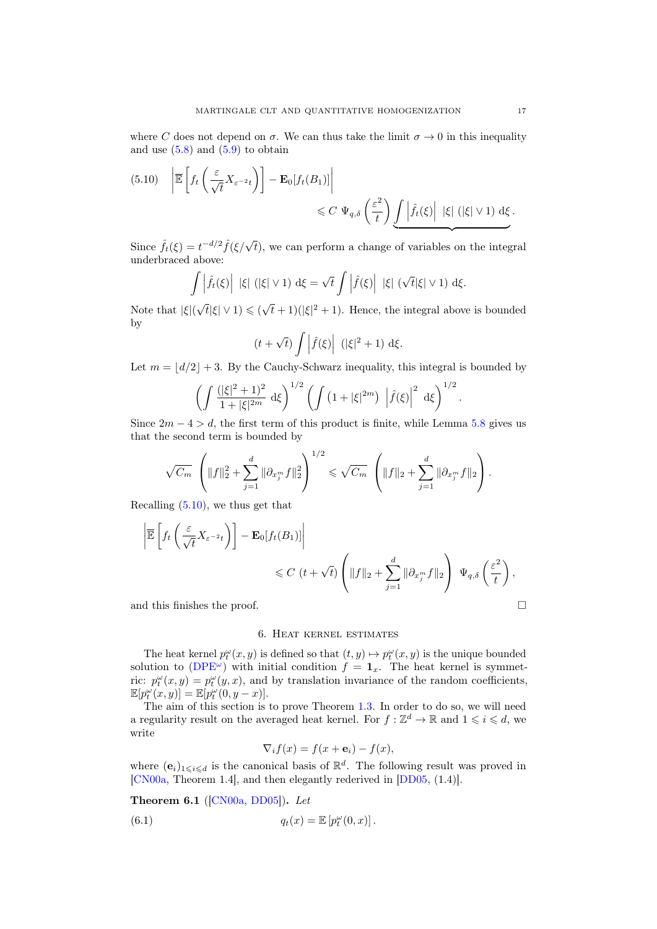where C does not depend on  $\sigma$ . We can thus take the limit  $\sigma \to 0$  in this inequality and use  $(5.8)$  and  $(5.9)$  to obtain

<span id="page-16-1"></span>
$$
(5.10) \quad \left| \overline{\mathbb{E}} \left[ f_t \left( \frac{\varepsilon}{\sqrt{t}} X_{\varepsilon^{-2} t} \right) \right] - \mathbf{E}_0[f_t(B_1)] \right|
$$
  

$$
\leq C \ \Psi_{q,\delta} \left( \frac{\varepsilon^2}{t} \right) \underbrace{\int \left| \hat{f}_t(\xi) \right| \ |\xi| \ (|\xi| \vee 1) \ d\xi}_{\Delta t}.
$$

Since  $\hat{f}_t(\xi) = t^{-d/2} \hat{f}(\xi/\sqrt{t})$ , we can perform a change of variables on the integral underbraced above:

$$
\int \left| \hat{f}_t(\xi) \right| \, |\xi| \, (|\xi| \vee 1) \, \mathrm{d}\xi = \sqrt{t} \int \left| \hat{f}(\xi) \right| \, |\xi| \, (\sqrt{t} |\xi| \vee 1) \, \mathrm{d}\xi.
$$

Note that |ξ|(  $\sqrt{t}|\xi| \vee 1) \leqslant (\sqrt{2})$  $\overline{t}$  + 1)( $|\xi|^2$  + 1). Hence, the integral above is bounded by

$$
(t+\sqrt{t})\int \left|\widehat{f}(\xi)\right| \ (\|\xi\|^2+1) \ \mathrm{d}\xi.
$$

Let  $m = |d/2| + 3$ . By the Cauchy-Schwarz inequality, this integral is bounded by

$$
\left(\int \frac{(|\xi|^2 + 1)^2}{1 + |\xi|^{2m}} d\xi\right)^{1/2} \left(\int \left(1 + |\xi|^{2m}\right) \left|\hat{f}(\xi)\right|^2 d\xi\right)^{1/2}.
$$

Since  $2m - 4 > d$ , the first term of this product is finite, while Lemma [5.8](#page-14-3) gives us that the second term is bounded by

$$
\sqrt{C_m} \left( \|f\|_2^2 + \sum_{j=1}^d \|\partial_{x_j^m} f\|_2^2 \right)^{1/2} \leq \sqrt{C_m} \left( \|f\|_2 + \sum_{j=1}^d \|\partial_{x_j^m} f\|_2 \right).
$$

Recalling [\(5.10\)](#page-16-1), we thus get that

$$
\left| \overline{\mathbb{E}} \left[ f_t \left( \frac{\varepsilon}{\sqrt{t}} X_{\varepsilon^{-2} t} \right) \right] - \mathbf{E}_0[f_t(B_1)] \right|
$$
  

$$
\leq C \left( t + \sqrt{t} \right) \left( \|f\|_2 + \sum_{j=1}^d \|\partial_{x_j^m} f\|_2 \right) \Psi_{q,\delta} \left( \frac{\varepsilon^2}{t} \right),
$$

and this finishes the proof.  $\hfill \square$ 

#### 6. Heat kernel estimates

<span id="page-16-0"></span>The heat kernel  $p_t^{\omega}(x, y)$  is defined so that  $(t, y) \mapsto p_t^{\omega}(x, y)$  is the unique bounded solution to [\(DPE](#page-12-1)<sup> $\omega$ </sup>) with initial condition  $f = \mathbf{1}_x$ . The heat kernel is symmetric:  $p_t^{\omega}(x, y) = p_t^{\omega}(y, x)$ , and by translation invariance of the random coefficients,  $\mathbb{E}[p_t^{\omega}(x,y)] = \mathbb{E}[p_t^{\omega}(0,y-x)].$ 

The aim of this section is to prove Theorem [1.3.](#page-1-3) In order to do so, we will need a regularity result on the averaged heat kernel. For  $f : \mathbb{Z}^d \to \mathbb{R}$  and  $1 \leq i \leq d$ , we write

$$
\nabla_i f(x) = f(x + \mathbf{e}_i) - f(x),
$$

where  $(e_i)_{1\leq i\leq d}$  is the canonical basis of  $\mathbb{R}^d$ . The following result was proved in [\[CN00a,](#page-23-8) Theorem 1.4], and then elegantly rederived in [\[DD05,](#page-24-8) (1.4)].

<span id="page-16-2"></span>Theorem 6.1 ([\[CN00a,](#page-23-8) [DD05\]](#page-24-8)). Let

(6.1) 
$$
q_t(x) = \mathbb{E}\left[p_t^{\omega}(0,x)\right].
$$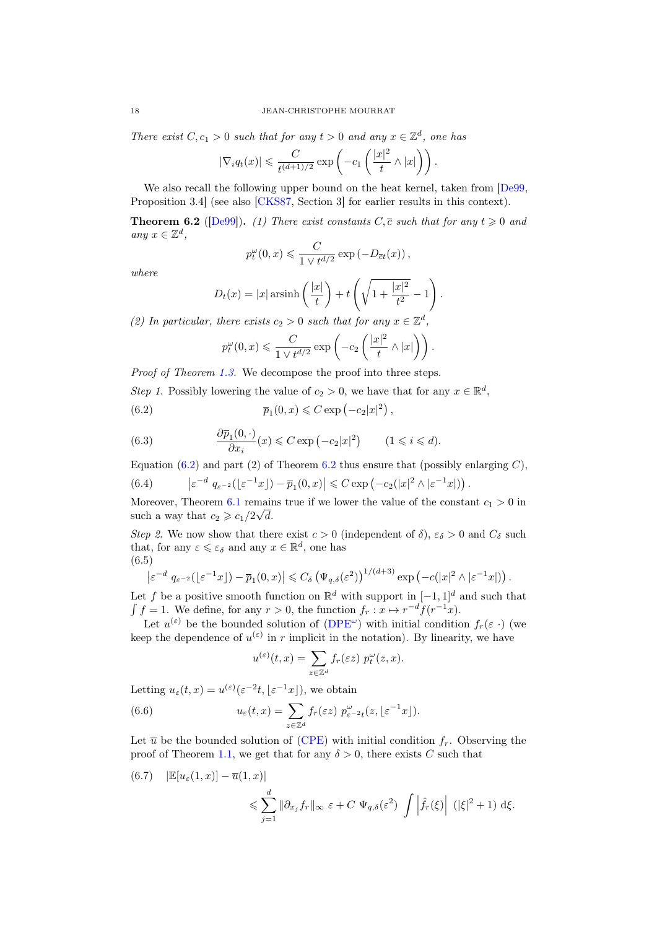There exist  $C, c_1 > 0$  such that for any  $t > 0$  and any  $x \in \mathbb{Z}^d$ , one has

$$
|\nabla_i q_t(x)| \leqslant \frac{C}{t^{(d+1)/2}} \exp\left(-c_1\left(\frac{|x|^2}{t} \wedge |x|\right)\right).
$$

We also recall the following upper bound on the heat kernel, taken from [\[De99,](#page-24-25) Proposition 3.4] (see also [\[CKS87,](#page-23-10) Section 3] for earlier results in this context).

<span id="page-17-1"></span>**Theorem 6.2** ([\[De99\]](#page-24-25)). (1) There exist constants  $C, \overline{c}$  such that for any  $t \ge 0$  and any  $x \in \mathbb{Z}^d$ ,

$$
p_t^{\omega}(0, x) \leqslant \frac{C}{1 \vee t^{d/2}} \exp\left(-D_{\overline{c}t}(x)\right),
$$

where

$$
D_t(x) = |x| \operatorname{arsinh}\left(\frac{|x|}{t}\right) + t\left(\sqrt{1 + \frac{|x|^2}{t^2}} - 1\right).
$$

(2) In particular, there exists  $c_2 > 0$  such that for any  $x \in \mathbb{Z}^d$ ,

<span id="page-17-0"></span>
$$
p_t^{\omega}(0, x) \leq \frac{C}{1 \vee t^{d/2}} \exp\left(-c_2\left(\frac{|x|^2}{t} \wedge |x|\right)\right).
$$

Proof of Theorem [1.3.](#page-1-3) We decompose the proof into three steps.

Step 1. Possibly lowering the value of  $c_2 > 0$ , we have that for any  $x \in \mathbb{R}^d$ ,

(6.2) 
$$
\overline{p}_1(0,x) \leq C \exp(-c_2|x|^2),
$$

<span id="page-17-2"></span>(6.3) 
$$
\frac{\partial \overline{p}_1(0, \cdot)}{\partial x_i}(x) \leqslant C \exp\left(-c_2|x|^2\right) \qquad (1 \leqslant i \leqslant d).
$$

Equation [\(6.2\)](#page-17-0) and part (2) of Theorem [6.2](#page-17-1) thus ensure that (possibly enlarging  $C$ ),

.

<span id="page-17-5"></span>(6.4) 
$$
\left| \varepsilon^{-d} q_{\varepsilon^{-2}}(\lfloor \varepsilon^{-1} x \rfloor) - \overline{p}_1(0, x) \right| \leq C \exp \left( -c_2(|x|^2 \wedge |\varepsilon^{-1} x|) \right)
$$

Moreover, Theorem [6.1](#page-16-2) remains true if we lower the value of the constant  $c_1 > 0$  in such a way that  $c_2 \geqslant c_1/2\sqrt{d}$ .

Step 2. We now show that there exist  $c > 0$  (independent of  $\delta$ ),  $\varepsilon_{\delta} > 0$  and  $C_{\delta}$  such that, for any  $\varepsilon \leqslant \varepsilon_{\delta}$  and any  $x \in \mathbb{R}^d$ , one has (6.5)

<span id="page-17-4"></span>
$$
\left|\varepsilon^{-d} q_{\varepsilon^{-2}}(\lfloor \varepsilon^{-1} x \rfloor) - \overline{p}_1(0, x)\right| \leqslant C_{\delta} \left(\Psi_{q, \delta}(\varepsilon^2)\right)^{1/(d+3)} \exp\left(-c(|x|^2 \wedge |\varepsilon^{-1} x|)\right).
$$

Let f be a positive smooth function on  $\mathbb{R}^d$  with support in  $[-1, 1]^d$  and such that  $\int f = 1$ . We define, for any  $r > 0$ , the function  $f_r : x \mapsto r^{-d} f(r^{-1}x)$ .

Let  $u^{(\varepsilon)}$  be the bounded solution of  $(DPE^{\omega})$  $(DPE^{\omega})$  with initial condition  $f_r(\varepsilon)$  (we keep the dependence of  $u^{(\varepsilon)}$  in r implicit in the notation). By linearity, we have

<span id="page-17-3"></span>
$$
u^{(\varepsilon)}(t,x) = \sum_{z \in \mathbb{Z}^d} f_r(\varepsilon z) \ p_t^{\omega}(z,x).
$$

Letting  $u_{\varepsilon}(t,x) = u^{(\varepsilon)}(\varepsilon^{-2}t, \lfloor \varepsilon^{-1}x \rfloor)$ , we obtain

(6.6) 
$$
u_{\varepsilon}(t,x) = \sum_{z \in \mathbb{Z}^d} f_r(\varepsilon z) p_{\varepsilon^{-2}t}^{\omega}(z, \lfloor \varepsilon^{-1}x \rfloor).
$$

Let  $\overline{u}$  be the bounded solution of [\(CPE\)](#page-0-1) with initial condition  $f_r$ . Observing the proof of Theorem [1.1,](#page-1-0) we get that for any  $\delta > 0$ , there exists C such that

(6.7) 
$$
|\mathbb{E}[u_{\varepsilon}(1,x)] - \overline{u}(1,x)|
$$
  

$$
\leq \sum_{j=1}^{d} ||\partial_{x_j} f_r||_{\infty} \varepsilon + C \Psi_{q,\delta}(\varepsilon^2) \int \left| \hat{f}_r(\xi) \right| (|\xi|^2 + 1) d\xi.
$$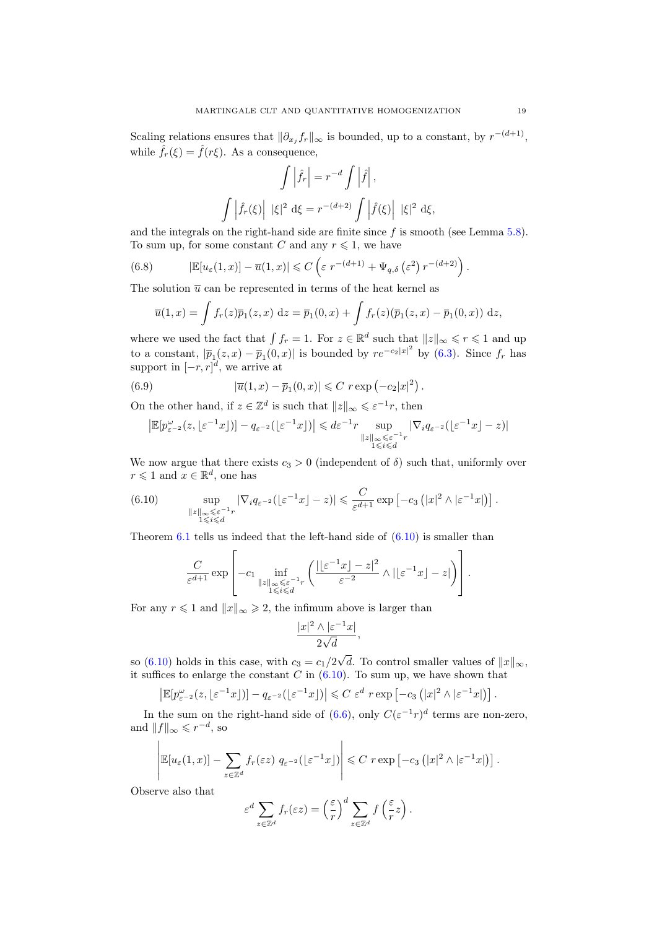Scaling relations ensures that  $\|\partial_{x_j} f_r\|_{\infty}$  is bounded, up to a constant, by  $r^{-(d+1)}$ , while  $\hat{f}_r(\xi) = \hat{f}(r\xi)$ . As a consequence,

$$
\int \left| \hat{f}_r \right| = r^{-d} \int \left| \hat{f} \right|,
$$

$$
\int \left| \hat{f}_r(\xi) \right| |\xi|^2 d\xi = r^{-(d+2)} \int \left| \hat{f}(\xi) \right| |\xi|^2 d\xi,
$$

and the integrals on the right-hand side are finite since  $f$  is smooth (see Lemma  $5.8$ ). To sum up, for some constant C and any  $r \leq 1$ , we have

(6.8) 
$$
|\mathbb{E}[u_{\varepsilon}(1,x)] - \overline{u}(1,x)| \leqslant C \left( \varepsilon r^{-(d+1)} + \Psi_{q,\delta} \left( \varepsilon^2 \right) r^{-(d+2)} \right).
$$

The solution  $\bar{u}$  can be represented in terms of the heat kernel as

<span id="page-18-1"></span>
$$
\overline{u}(1,x) = \int f_r(z)\overline{p}_1(z,x) \, dz = \overline{p}_1(0,x) + \int f_r(z)(\overline{p}_1(z,x) - \overline{p}_1(0,x)) \, dz,
$$

where we used the fact that  $\int f_r = 1$ . For  $z \in \mathbb{R}^d$  such that  $||z||_{\infty} \leqslant r \leqslant 1$  and up to a constant,  $|\bar{p}_1(z,x)-\bar{p}_1(0,x)|$  is bounded by  $re^{-c_2|x|^2}$  by [\(6.3\)](#page-17-2). Since  $f_r$  has support in  $[-r, r]^d$ , we arrive at

(6.9) 
$$
|\overline{u}(1,x) - \overline{p}_1(0,x)| \leq C r \exp(-c_2|x|^2).
$$

On the other hand, if  $z \in \mathbb{Z}^d$  is such that  $||z||_{\infty} \leqslant \varepsilon^{-1}r$ , then

<span id="page-18-2"></span>
$$
\big|\mathbb{E}[p^\omega_{\varepsilon^{-2}}(z,\lfloor \varepsilon^{-1} x \rfloor)]-q_{\varepsilon^{-2}}(\lfloor \varepsilon^{-1} x \rfloor)\big| \leqslant d \varepsilon^{-1} r \sup_{\substack{\|z\|_\infty \leqslant \varepsilon^{-1} r \\ 1\leqslant i \leqslant d}} |\nabla_i q_{\varepsilon^{-2}}(\lfloor \varepsilon^{-1} x \rfloor - z)|
$$

We now argue that there exists  $c_3 > 0$  (independent of  $\delta$ ) such that, uniformly over  $r \leq 1$  and  $x \in \mathbb{R}^d$ , one has

<span id="page-18-0"></span>(6.10) 
$$
\sup_{\substack{\|z\|_{\infty} \leq \varepsilon^{-1}r \\ 1 \leq i \leq d}} |\nabla_i q_{\varepsilon^{-2}} (\lfloor \varepsilon^{-1} x \rfloor - z)| \leq \frac{C}{\varepsilon^{d+1}} \exp \left[ -c_3 \left( |x|^2 \wedge |\varepsilon^{-1} x| \right) \right].
$$

Theorem  $6.1$  tells us indeed that the left-hand side of  $(6.10)$  is smaller than

$$
\frac{C}{\varepsilon^{d+1}} \exp \left[ -c_1 \inf_{\substack{\|z\|_{\infty} \leq \varepsilon^{-1} r \\ 1 \leqslant i \leqslant d}} \left( \frac{|\lfloor \varepsilon^{-1} x \rfloor - z|^2}{\varepsilon^{-2}} \wedge |\lfloor \varepsilon^{-1} x \rfloor - z| \right) \right].
$$

For any  $r \leq 1$  and  $||x||_{\infty} \geq 2$ , the infimum above is larger than

$$
\frac{|x|^2 \wedge |\varepsilon^{-1} x|}{2\sqrt{d}},
$$

so  $(6.10)$  holds in this case, with  $c_3 = c_1/2$ √ d. To control smaller values of  $||x||_{\infty}$ , it suffices to enlarge the constant  $C$  in  $(6.10)$ . To sum up, we have shown that

$$
\left|\mathbb{E}[p_{\varepsilon^{-2}}^{\omega}(z,\lfloor \varepsilon^{-1}x \rfloor)]-q_{\varepsilon^{-2}}(\lfloor \varepsilon^{-1}x \rfloor)\right| \leqslant C \varepsilon^d r \exp\left[-c_3\left(|x|^2 \wedge |\varepsilon^{-1}x|\right)\right].
$$

In the sum on the right-hand side of [\(6.6\)](#page-17-3), only  $C(\varepsilon^{-1}r)^d$  terms are non-zero, and  $||f||_{\infty} \leqslant r^{-d}$ , so

$$
\mathbb{E}[u_{\varepsilon}(1,x)] - \sum_{z \in \mathbb{Z}^d} f_r(\varepsilon z) q_{\varepsilon^{-2}}(\lfloor \varepsilon^{-1} x \rfloor) \Bigg| \leq C r \exp \left[ -c_3 \left( |x|^2 \wedge |\varepsilon^{-1} x| \right) \right].
$$

Observe also that

 $\overline{\phantom{a}}$ I  $\overline{\phantom{a}}$ I  $\overline{\phantom{a}}$  $\overline{\phantom{a}}$ 

$$
\varepsilon^d \sum_{z \in \mathbb{Z}^d} f_r(\varepsilon z) = \left(\frac{\varepsilon}{r}\right)^d \sum_{z \in \mathbb{Z}^d} f\left(\frac{\varepsilon}{r} z\right).
$$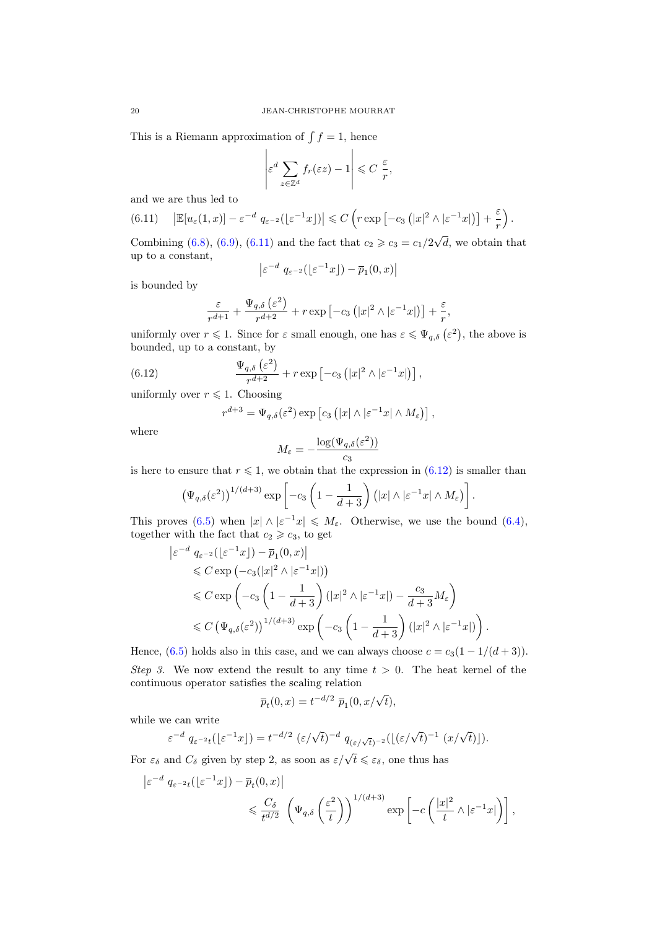This is a Riemann approximation of  $\int f = 1$ , hence

$$
\left|\varepsilon^d \sum_{z \in \mathbb{Z}^d} f_r(\varepsilon z) - 1\right| \leqslant C \frac{\varepsilon}{r},
$$

and we are thus led to

<span id="page-19-0"></span>
$$
(6.11) \quad \left| \mathbb{E}[u_{\varepsilon}(1,x)] - \varepsilon^{-d} \ q_{\varepsilon^{-2}}(\lfloor \varepsilon^{-1} x \rfloor) \right| \leqslant C \left( r \exp \left[ -c_3 \left( |x|^2 \wedge |\varepsilon^{-1} x| \right) \right] + \frac{\varepsilon}{r} \right).
$$

Combining [\(6.8\)](#page-18-1), [\(6.9\)](#page-18-2), [\(6.11\)](#page-19-0) and the fact that  $c_2 \geqslant c_3 = c_1/2\sqrt{ }$ d, we obtain that up to a constant,

$$
\left| \varepsilon^{-d} q_{\varepsilon^{-2}}(\lfloor \varepsilon^{-1} x \rfloor) - \overline{p}_1(0, x) \right|
$$

is bounded by

$$
\frac{\varepsilon}{r^{d+1}} + \frac{\Psi_{q,\delta}\left(\varepsilon^{2}\right)}{r^{d+2}} + r \exp\left[-c_{3}\left(|x|^{2} \wedge |\varepsilon^{-1} x|\right)\right] + \frac{\varepsilon}{r},
$$

uniformly over  $r \leq 1$ . Since for  $\varepsilon$  small enough, one has  $\varepsilon \leq \Psi_{q,\delta}(\varepsilon^2)$ , the above is bounded, up to a constant, by

(6.12) 
$$
\frac{\Psi_{q,\delta}\left(\varepsilon^2\right)}{r^{d+2}} + r \exp\left[-c_3\left(|x|^2 \wedge |\varepsilon^{-1}x|\right)\right],
$$

uniformly over  $r \leq 1$ . Choosing

<span id="page-19-1"></span>
$$
r^{d+3} = \Psi_{q,\delta}(\varepsilon^2) \exp \left[ c_3 \left( |x| \wedge |\varepsilon^{-1} x| \wedge M_\varepsilon \right) \right],
$$

where

$$
M_{\varepsilon} = -\frac{\log(\Psi_{q,\delta}(\varepsilon^2))}{c_3}
$$

is here to ensure that  $r \leq 1$ , we obtain that the expression in  $(6.12)$  is smaller than

$$
\left(\Psi_{q,\delta}(\varepsilon^{2})\right)^{1/(d+3)}\exp\left[-c_{3}\left(1-\frac{1}{d+3}\right)\left(|x|\wedge|\varepsilon^{-1}x|\wedge M_{\varepsilon}\right)\right]
$$

.

This proves [\(6.5\)](#page-17-4) when  $|x| \wedge |\varepsilon^{-1}x| \leq M_{\varepsilon}$ . Otherwise, we use the bound [\(6.4\)](#page-17-5), together with the fact that  $c_2 \geq c_3$ , to get

$$
\begin{split} \left| \varepsilon^{-d} \ q_{\varepsilon^{-2}}\left( \lfloor \varepsilon^{-1} x \rfloor \right) - \overline{p}_1(0, x) \right| \\ &\leqslant C \exp \left( -c_3 \left( \lfloor x \rfloor^2 \wedge \lfloor \varepsilon^{-1} x \rfloor \right) \right) \\ &\leqslant C \exp \left( -c_3 \left( 1 - \frac{1}{d+3} \right) \left( \lvert x \rvert^2 \wedge \lvert \varepsilon^{-1} x \rvert \right) - \frac{c_3}{d+3} M_{\varepsilon} \right) \\ &\leqslant C \left( \Psi_{q, \delta}(\varepsilon^2) \right)^{1/(d+3)} \exp \left( -c_3 \left( 1 - \frac{1}{d+3} \right) \left( \lvert x \rvert^2 \wedge \lvert \varepsilon^{-1} x \rvert \right) \right). \end{split}
$$

Hence,  $(6.5)$  holds also in this case, and we can always choose  $c = c_3(1 - 1/(d + 3))$ . Step 3. We now extend the result to any time  $t > 0$ . The heat kernel of the continuous operator satisfies the scaling relation

$$
\overline{p}_t(0, x) = t^{-d/2} \overline{p}_1(0, x/\sqrt{t}),
$$

while we can write

$$
\varepsilon^{-d} q_{\varepsilon^{-2}t}(\lfloor \varepsilon^{-1}x \rfloor) = t^{-d/2} (\varepsilon/\sqrt{t})^{-d} q_{(\varepsilon/\sqrt{t})^{-2}}(\lfloor (\varepsilon/\sqrt{t})^{-1} (x/\sqrt{t}) \rfloor).
$$

For  $\varepsilon_{\delta}$  and  $C_{\delta}$  given by step 2, as soon as  $\varepsilon/\sqrt{t} \leq \varepsilon_{\delta}$ , one thus has

$$
\begin{split} \left| \varepsilon^{-d} \ q_{\varepsilon^{-2}t} \left( \lfloor \varepsilon^{-1} x \rfloor \right) - \overline{p}_t(0, x) \right| \\ &\leqslant \frac{C_\delta}{t^{d/2}} \ \left( \Psi_{q, \delta} \left( \frac{\varepsilon^2}{t} \right) \right)^{1/(d+3)} \exp \left[ -c \left( \frac{|x|^2}{t} \wedge |\varepsilon^{-1} x| \right) \right], \end{split}
$$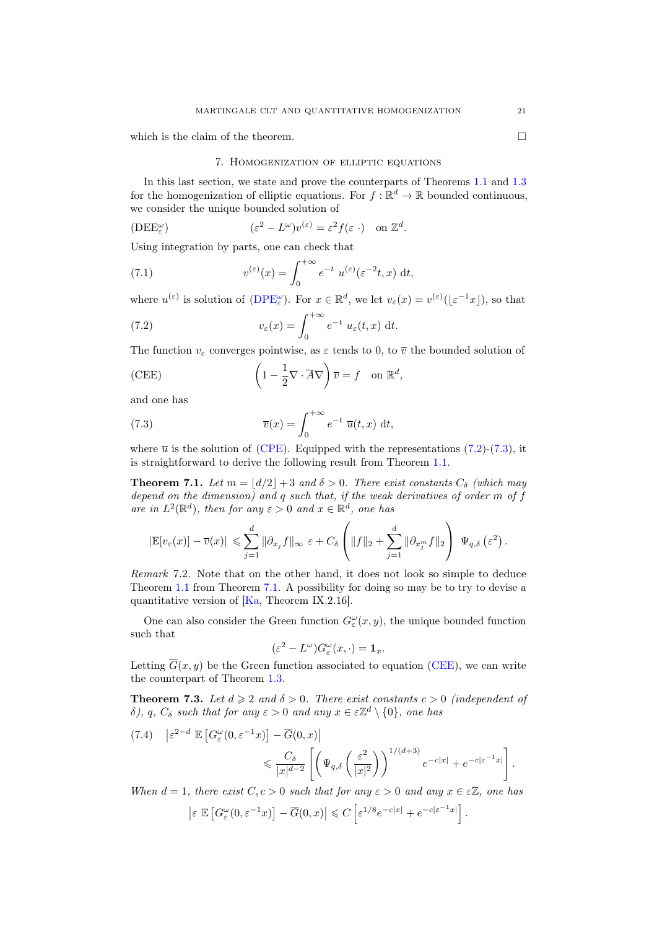<span id="page-20-2"></span>which is the claim of the theorem.  $\Box$ 

# 7. Homogenization of elliptic equations

In this last section, we state and prove the counterparts of Theorems [1.1](#page-1-0) and [1.3](#page-1-3) for the homogenization of elliptic equations. For  $f : \mathbb{R}^d \to \mathbb{R}$  bounded continuous, we consider the unique bounded solution of

$$
(\text{DEE}_{\varepsilon}^{\omega}) \qquad (\varepsilon^2 - L^{\omega})v^{(\varepsilon)} = \varepsilon^2 f(\varepsilon \cdot) \quad \text{on } \mathbb{Z}^d.
$$

Using integration by parts, one can check that

(7.1) 
$$
v^{(\varepsilon)}(x) = \int_0^{+\infty} e^{-t} u^{(\varepsilon)}(\varepsilon^{-2}t, x) dt,
$$

where  $u^{(\varepsilon)}$  is solution of  $(DPE_{\varepsilon}^{\omega})$  $(DPE_{\varepsilon}^{\omega})$ . For  $x \in \mathbb{R}^d$ , we let  $v_{\varepsilon}(x) = v^{(\varepsilon)}(\lfloor \varepsilon^{-1}x \rfloor)$ , so that

<span id="page-20-3"></span>(7.2) 
$$
v_{\varepsilon}(x) = \int_0^{+\infty} e^{-t} u_{\varepsilon}(t, x) dt.
$$

The function  $v_{\varepsilon}$  converges pointwise, as  $\varepsilon$  tends to 0, to  $\overline{v}$  the bounded solution of

<span id="page-20-5"></span>(CEE) 
$$
\left(1 - \frac{1}{2}\nabla \cdot \overline{A}\nabla\right)\overline{v} = f \quad \text{on } \mathbb{R}^d,
$$

and one has

<span id="page-20-4"></span>(7.3) 
$$
\overline{v}(x) = \int_0^{+\infty} e^{-t} \overline{u}(t, x) dt,
$$

where  $\bar{u}$  is the solution of [\(CPE\)](#page-0-1). Equipped with the representations [\(7.2\)](#page-20-3)-[\(7.3\)](#page-20-4), it is straightforward to derive the following result from Theorem [1.1.](#page-1-0)

<span id="page-20-0"></span>**Theorem 7.1.** Let  $m = |d/2| + 3$  and  $\delta > 0$ . There exist constants  $C_{\delta}$  (which may depend on the dimension) and q such that, if the weak derivatives of order m of f are in  $L^2(\mathbb{R}^d)$ , then for any  $\varepsilon > 0$  and  $x \in \mathbb{R}^d$ , one has

$$
|\mathbb{E}[v_{\varepsilon}(x)] - \overline{v}(x)| \leqslant \sum_{j=1}^d \|\partial_{x_j} f\|_{\infty} \varepsilon + C_{\delta} \left( \|f\|_2 + \sum_{j=1}^d \|\partial_{x_j^m} f\|_2 \right) \Psi_{q,\delta}(\varepsilon^2).
$$

Remark 7.2. Note that on the other hand, it does not look so simple to deduce Theorem [1.1](#page-1-0) from Theorem [7.1.](#page-20-0) A possibility for doing so may be to try to devise a quantitative version of [\[Ka,](#page-24-26) Theorem IX.2.16].

One can also consider the Green function  $G_{\varepsilon}^{\omega}(x, y)$ , the unique bounded function such that

$$
(\varepsilon^2 - L^{\omega})G_{\varepsilon}^{\omega}(x, \cdot) = \mathbf{1}_x.
$$

Letting  $\overline{G}(x, y)$  be the Green function associated to equation [\(CEE\)](#page-20-5), we can write the counterpart of Theorem [1.3.](#page-1-3)

<span id="page-20-1"></span>**Theorem 7.3.** Let  $d \geq 2$  and  $\delta > 0$ . There exist constants  $c > 0$  (independent of δ), q,  $C_\delta$  such that for any  $\varepsilon > 0$  and any  $x \in \varepsilon \mathbb{Z}^d \setminus \{0\}$ , one has

<span id="page-20-6"></span>
$$
(7.4) \quad \left| \varepsilon^{2-d} \mathbb{E} \left[ G_{\varepsilon}^{\omega}(0, \varepsilon^{-1} x) \right] - \overline{G}(0, x) \right|
$$
  

$$
\leqslant \frac{C_{\delta}}{|x|^{d-2}} \left[ \left( \Psi_{q, \delta} \left( \frac{\varepsilon^2}{|x|^2} \right) \right)^{1/(d+3)} e^{-c|x|} + e^{-c|\varepsilon^{-1} x|} \right].
$$

When  $d = 1$ , there exist  $C, c > 0$  such that for any  $\varepsilon > 0$  and any  $x \in \varepsilon \mathbb{Z}$ , one has

$$
\left|\varepsilon \ \mathbb{E}\left[G_{\varepsilon}^{\omega}(0,\varepsilon^{-1}x)\right]-\overline{G}(0,x)\right|\leqslant C\left[\varepsilon^{1/8}e^{-c|x|}+e^{-c|\varepsilon^{-1}x|}\right].
$$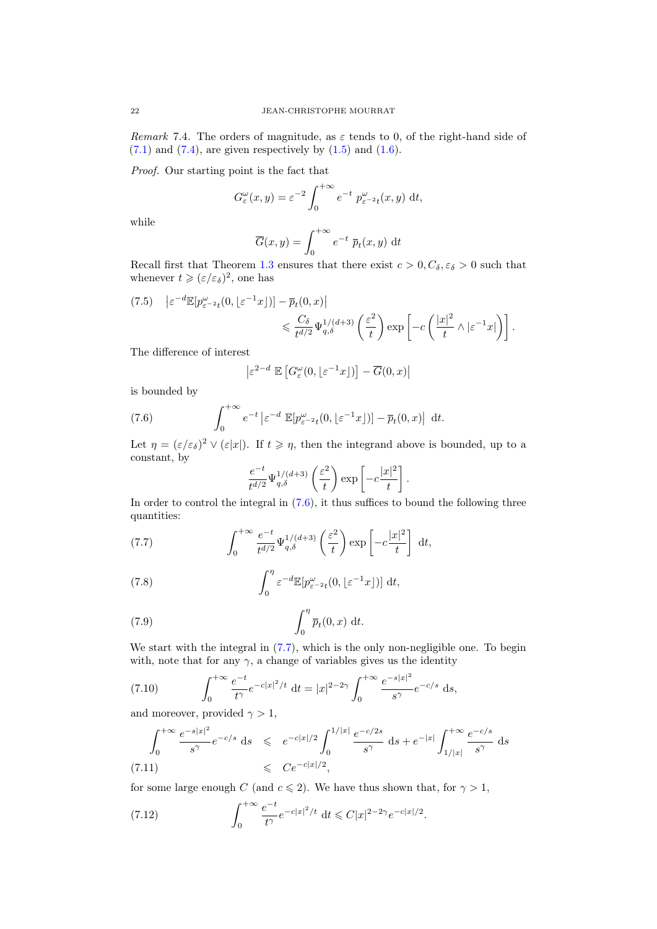Remark 7.4. The orders of magnitude, as  $\varepsilon$  tends to 0, of the right-hand side of  $(7.1)$  and  $(7.4)$ , are given respectively by  $(1.5)$  and  $(1.6)$ .

Proof. Our starting point is the fact that

$$
G_{\varepsilon}^{\omega}(x,y) = \varepsilon^{-2} \int_0^{+\infty} e^{-t} p_{\varepsilon^{-2}t}^{\omega}(x,y) dt,
$$

while

$$
\overline{G}(x,y) = \int_0^{+\infty} e^{-t} \ \overline{p}_t(x,y) \, \mathrm{d}t
$$

Recall first that Theorem [1.3](#page-1-3) ensures that there exist  $c > 0, C_{\delta}, \varepsilon_{\delta} > 0$  such that whenever  $t \geqslant (\varepsilon/\varepsilon_\delta)^2$ , one has

$$
(7.5) \quad \left| \varepsilon^{-d} \mathbb{E} [p_{\varepsilon^{-2}t}^{\omega}(0, \lfloor \varepsilon^{-1} x \rfloor)] - \overline{p}_t(0, x) \right|
$$
  

$$
\leq \frac{C_\delta}{t^{d/2}} \Psi_{q, \delta}^{1/(d+3)} \left( \frac{\varepsilon^2}{t} \right) \exp \left[ -c \left( \frac{|x|^2}{t} \wedge |\varepsilon^{-1} x| \right) \right].
$$

The difference of interest

<span id="page-21-0"></span>
$$
\left| \varepsilon^{2-d} \ \mathbb{E}\left[ G_\varepsilon^\omega(0,\lfloor \varepsilon^{-1} x \rfloor)\right] - \overline{G}(0,x) \right|
$$

is bounded by

(7.6) 
$$
\int_0^{+\infty} e^{-t} \left| \varepsilon^{-d} \mathbb{E} [p_{\varepsilon^{-2}t}^{\omega}(0, \lfloor \varepsilon^{-1} x \rfloor)] - \overline{p}_t(0, x) \right| dt.
$$

Let  $\eta = (\varepsilon/\varepsilon_\delta)^2 \vee (\varepsilon|x|)$ . If  $t \geq \eta$ , then the integrand above is bounded, up to a constant, by

<span id="page-21-4"></span><span id="page-21-3"></span><span id="page-21-1"></span>
$$
\frac{e^{-t}}{t^{d/2}}\Psi_{q,\delta}^{1/(d+3)}\left(\frac{\varepsilon^2}{t}\right)\exp\left[-c\frac{|x|^2}{t}\right].
$$

In order to control the integral in  $(7.6)$ , it thus suffices to bound the following three quantities:

(7.7) 
$$
\int_0^{+\infty} \frac{e^{-t}}{t^{d/2}} \Psi_{q,\delta}^{1/(d+3)}\left(\frac{\varepsilon^2}{t}\right) \exp\left[-c\frac{|x|^2}{t}\right] dt,
$$

(7.8) 
$$
\int_0^{\eta} \varepsilon^{-d} \mathbb{E}[p_{\varepsilon^{-2}t}^{\omega}(0, \lfloor \varepsilon^{-1}x \rfloor)] dt,
$$

(7.9) 
$$
\int_0^{\eta} \overline{p}_t(0,x) dt.
$$

We start with the integral in  $(7.7)$ , which is the only non-negligible one. To begin with, note that for any  $\gamma$ , a change of variables gives us the identity

<span id="page-21-5"></span>(7.10) 
$$
\int_0^{+\infty} \frac{e^{-t}}{t^{\gamma}} e^{-c|x|^2/t} dt = |x|^{2-2\gamma} \int_0^{+\infty} \frac{e^{-s|x|^2}}{s^{\gamma}} e^{-c/s} ds,
$$

and moreover, provided  $\gamma > 1$ ,

<span id="page-21-2"></span>
$$
\int_0^{+\infty} \frac{e^{-s|x|^2}}{s^{\gamma}} e^{-c/s} ds \leq e^{-c|x|/2} \int_0^{1/|x|} \frac{e^{-c/2s}}{s^{\gamma}} ds + e^{-|x|} \int_{1/|x|}^{+\infty} \frac{e^{-c/s}}{s^{\gamma}} ds
$$
\n(7.11)\n
$$
\leq C e^{-c|x|/2},
$$

for some large enough C (and  $c \leq 2$ ). We have thus shown that, for  $\gamma > 1$ ,

(7.12) 
$$
\int_0^{+\infty} \frac{e^{-t}}{t^{\gamma}} e^{-c|x|^2/t} dt \leq C|x|^{2-2\gamma} e^{-c|x|/2}.
$$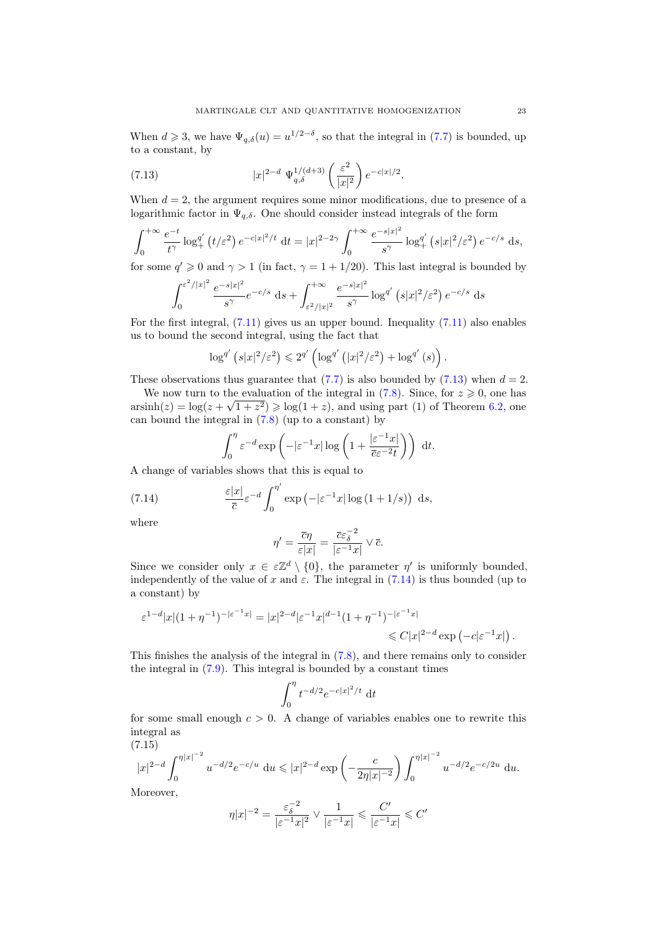When  $d \ge 3$ , we have  $\Psi_{q,\delta}(u) = u^{1/2-\delta}$ , so that the integral in [\(7.7\)](#page-21-1) is bounded, up to a constant, by

<span id="page-22-0"></span>(7.13) 
$$
|x|^{2-d} \Psi_{q,\delta}^{1/(d+3)}\left(\frac{\varepsilon^2}{|x|^2}\right) e^{-c|x|/2}.
$$

When  $d = 2$ , the argument requires some minor modifications, due to presence of a logarithmic factor in  $\Psi_{q,\delta}$ . One should consider instead integrals of the form

$$
\int_0^{+\infty} \frac{e^{-t}}{t^{\gamma}} \log_+^{q'} \left(t/\varepsilon^2\right) e^{-c|x|^2/t} \, \mathrm{d}t = |x|^{2-2\gamma} \int_0^{+\infty} \frac{e^{-s|x|^2}}{s^{\gamma}} \log_+^{q'} \left(s|x|^2/\varepsilon^2\right) e^{-c/s} \, \mathrm{d}s,
$$

for some  $q' \geq 0$  and  $\gamma > 1$  (in fact,  $\gamma = 1 + 1/20$ ). This last integral is bounded by

$$
\int_0^{\varepsilon^2/|x|^2} \frac{e^{-s|x|^2}}{s^\gamma} e^{-c/s} ds + \int_{\varepsilon^2/|x|^2}^{+\infty} \frac{e^{-s|x|^2}}{s^\gamma} \log^{q'}\left(s|x|^2/\varepsilon^2\right) e^{-c/s} ds
$$

For the first integral,  $(7.11)$  gives us an upper bound. Inequality  $(7.11)$  also enables us to bound the second integral, using the fact that

$$
\log^{q'}\left(s|x|^2/\varepsilon^2\right) \leq 2^{q'}\left(\log^{q'}\left(|x|^2/\varepsilon^2\right) + \log^{q'}\left(s\right)\right).
$$

These observations thus guarantee that  $(7.7)$  is also bounded by  $(7.13)$  when  $d = 2$ .

We now turn to the evaluation of the integral in [\(7.8\)](#page-21-3). Since, for  $z \ge 0$ , one has  $arcsinh(z) = log(z + \sqrt{1 + z^2}) \ge log(1 + z)$ , and using part (1) of Theorem [6.2,](#page-17-1) one can bound the integral in  $(7.8)$  (up to a constant) by

<span id="page-22-1"></span>
$$
\int_0^{\eta} \varepsilon^{-d} \exp\left(-|\varepsilon^{-1}x| \log\left(1 + \frac{|\varepsilon^{-1}x|}{\overline{c}\varepsilon^{-2}t}\right)\right) dt.
$$

A change of variables shows that this is equal to

(7.14) 
$$
\frac{\varepsilon |x|}{\bar{c}} \varepsilon^{-d} \int_0^{\eta'} \exp \left(-|\varepsilon^{-1} x| \log \left(1 + 1/s\right)\right) ds,
$$

where

$$
\eta' = \frac{\overline{c}\eta}{\varepsilon|x|} = \frac{\overline{c}\varepsilon_{\delta}^{-2}}{|\varepsilon^{-1}x|} \vee \overline{c}.
$$

Since we consider only  $x \in \varepsilon \mathbb{Z}^d \setminus \{0\}$ , the parameter  $\eta'$  is uniformly bounded, independently of the value of x and  $\varepsilon$ . The integral in [\(7.14\)](#page-22-1) is thus bounded (up to a constant) by

$$
\begin{aligned} \varepsilon^{1-d}|x|(1+\eta^{-1})^{-|\varepsilon^{-1}x|}&=|x|^{2-d}|\varepsilon^{-1}x|^{d-1}(1+\eta^{-1})^{-|\varepsilon^{-1}x|}\\ &\leqslant C|x|^{2-d}\exp\left(-c|\varepsilon^{-1}x|\right). \end{aligned}
$$

This finishes the analysis of the integral in [\(7.8\)](#page-21-3), and there remains only to consider the integral in [\(7.9\)](#page-21-4). This integral is bounded by a constant times

$$
\int_0^{\eta} t^{-d/2} e^{-c|x|^2/t} dt
$$

for some small enough  $c > 0$ . A change of variables enables one to rewrite this integral as

<span id="page-22-2"></span>(7.15)  
\n
$$
|x|^{2-d} \int_0^{\eta |x|^{-2}} u^{-d/2} e^{-c/u} du \le |x|^{2-d} \exp\left(-\frac{c}{2\eta |x|^{-2}}\right) \int_0^{\eta |x|^{-2}} u^{-d/2} e^{-c/2u} du.
$$
\nMoreover

Moreover,

$$
\eta |x|^{-2} = \frac{{\varepsilon}_{\delta}^{-2}}{|{\varepsilon}^{-1}x|^2} \vee \frac{1}{|{\varepsilon}^{-1}x|} \leqslant \frac{C'}{|{\varepsilon}^{-1}x|} \leqslant C'
$$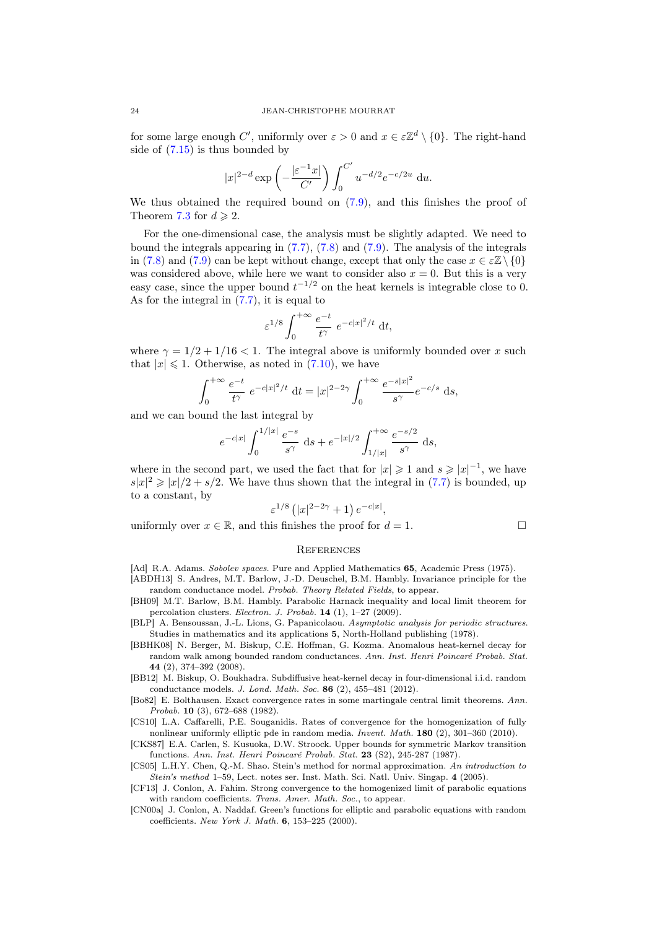for some large enough C', uniformly over  $\varepsilon > 0$  and  $x \in \varepsilon \mathbb{Z}^d \setminus \{0\}$ . The right-hand side of [\(7.15\)](#page-22-2) is thus bounded by

$$
|x|^{2-d} \exp\left(-\frac{|\varepsilon^{-1} x|}{C'}\right) \int_0^{C'} u^{-d/2} e^{-c/2u} du.
$$

We thus obtained the required bound on [\(7.9\)](#page-21-4), and this finishes the proof of Theorem [7.3](#page-20-1) for  $d \ge 2$ .

For the one-dimensional case, the analysis must be slightly adapted. We need to bound the integrals appearing in [\(7.7\)](#page-21-1), [\(7.8\)](#page-21-3) and [\(7.9\)](#page-21-4). The analysis of the integrals in [\(7.8\)](#page-21-3) and [\(7.9\)](#page-21-4) can be kept without change, except that only the case  $x \in \mathcal{Z}\setminus\{0\}$ was considered above, while here we want to consider also  $x = 0$ . But this is a very easy case, since the upper bound  $t^{-1/2}$  on the heat kernels is integrable close to 0. As for the integral in [\(7.7\)](#page-21-1), it is equal to

$$
\varepsilon^{1/8} \int_0^{+\infty} \frac{e^{-t}}{t^{\gamma}} e^{-c|x|^2/t} dt,
$$

where  $\gamma = 1/2 + 1/16 < 1$ . The integral above is uniformly bounded over x such that  $|x| \leq 1$ . Otherwise, as noted in [\(7.10\)](#page-21-5), we have

$$
\int_0^{+\infty} \frac{e^{-t}}{t^{\gamma}} e^{-c|x|^2/t} dt = |x|^{2-2\gamma} \int_0^{+\infty} \frac{e^{-s|x|^2}}{s^{\gamma}} e^{-c/s} ds,
$$

and we can bound the last integral by

$$
e^{-c|x|} \int_0^{1/|x|} \frac{e^{-s}}{s^{\gamma}} ds + e^{-|x|/2} \int_{1/|x|}^{+\infty} \frac{e^{-s/2}}{s^{\gamma}} ds,
$$

where in the second part, we used the fact that for  $|x| \geq 1$  and  $s \geq |x|^{-1}$ , we have  $s|x|^2 \ge |x|/2 + s/2$ . We have thus shown that the integral in [\(7.7\)](#page-21-1) is bounded, up to a constant, by

$$
\varepsilon^{1/8} (|x|^{2-2\gamma} + 1) e^{-c|x|},
$$

uniformly over  $x \in \mathbb{R}$ , and this finishes the proof for  $d = 1$ .

$$
\mathcal{L}_{\mathcal{L}}
$$

#### **REFERENCES**

<span id="page-23-0"></span>[Ad] R.A. Adams. Sobolev spaces. Pure and Applied Mathematics 65, Academic Press (1975).

- <span id="page-23-7"></span>[ABDH13] S. Andres, M.T. Barlow, J.-D. Deuschel, B.M. Hambly. Invariance principle for the random conductance model. Probab. Theory Related Fields, to appear.
- <span id="page-23-4"></span>[BH09] M.T. Barlow, B.M. Hambly. Parabolic Harnack inequality and local limit theorem for percolation clusters. Electron. J. Probab. 14 (1), 1–27 (2009).
- <span id="page-23-1"></span>[BLP] A. Bensoussan, J.-L. Lions, G. Papanicolaou. Asymptotic analysis for periodic structures. Studies in mathematics and its applications 5, North-Holland publishing (1978).
- <span id="page-23-5"></span>[BBHK08] N. Berger, M. Biskup, C.E. Hoffman, G. Kozma. Anomalous heat-kernel decay for random walk among bounded random conductances. Ann. Inst. Henri Poincaré Probab. Stat. 44 (2), 374–392 (2008).
- <span id="page-23-6"></span>[BB12] M. Biskup, O. Boukhadra. Subdiffusive heat-kernel decay in four-dimensional i.i.d. random conductance models. J. Lond. Math. Soc. 86 (2), 455–481 (2012).
- [Bo82] E. Bolthausen. Exact convergence rates in some martingale central limit theorems. Ann. Probab. 10 (3), 672–688 (1982).
- <span id="page-23-2"></span>[CS10] L.A. Caffarelli, P.E. Souganidis. Rates of convergence for the homogenization of fully nonlinear uniformly elliptic pde in random media. Invent. Math. 180 (2), 301–360 (2010).
- <span id="page-23-10"></span>[CKS87] E.A. Carlen, S. Kusuoka, D.W. Stroock. Upper bounds for symmetric Markov transition functions. Ann. Inst. Henri Poincaré Probab. Stat. 23 (S2), 245-287 (1987).
- <span id="page-23-9"></span>[CS05] L.H.Y. Chen, Q.-M. Shao. Stein's method for normal approximation. An introduction to Stein's method 1–59, Lect. notes ser. Inst. Math. Sci. Natl. Univ. Singap. 4 (2005).
- <span id="page-23-3"></span>[CF13] J. Conlon, A. Fahim. Strong convergence to the homogenized limit of parabolic equations with random coefficients. Trans. Amer. Math. Soc., to appear.
- <span id="page-23-8"></span>[CN00a] J. Conlon, A. Naddaf. Green's functions for elliptic and parabolic equations with random coefficients. New York J. Math. 6, 153–225 (2000).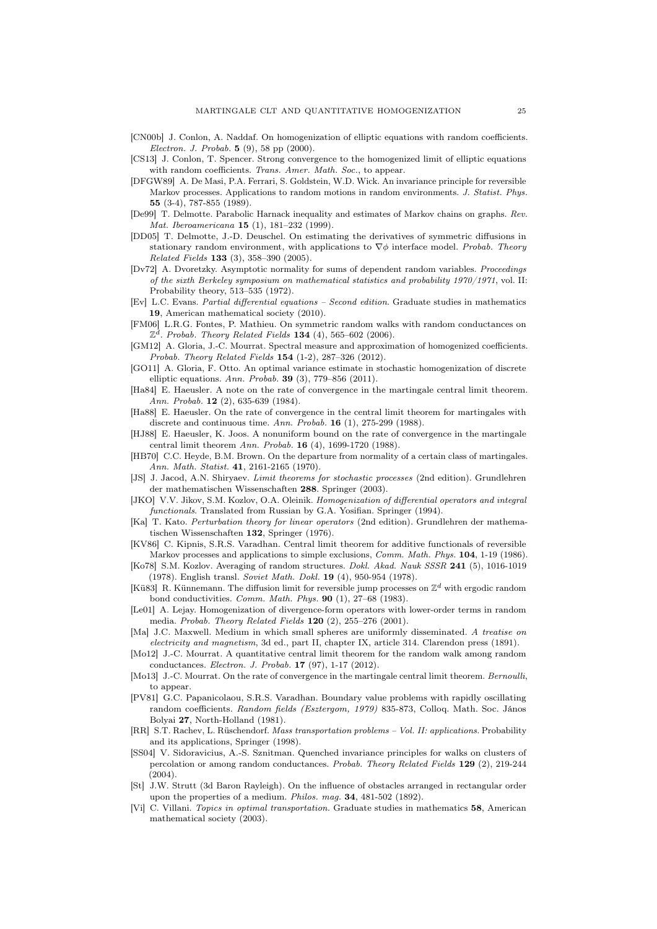- [CN00b] J. Conlon, A. Naddaf. On homogenization of elliptic equations with random coefficients. Electron. J. Probab. 5 (9), 58 pp (2000).
- <span id="page-24-6"></span>[CS13] J. Conlon, T. Spencer. Strong convergence to the homogenized limit of elliptic equations with random coefficients. Trans. Amer. Math. Soc., to appear.
- <span id="page-24-23"></span>[DFGW89] A. De Masi, P.A. Ferrari, S. Goldstein, W.D. Wick. An invariance principle for reversible Markov processes. Applications to random motions in random environments. J. Statist. Phys. 55 (3-4), 787-855 (1989).
- <span id="page-24-25"></span>[De99] T. Delmotte. Parabolic Harnack inequality and estimates of Markov chains on graphs. Rev. Mat. Iberoamericana 15 (1), 181–232 (1999).
- <span id="page-24-8"></span>[DD05] T. Delmotte, J.-D. Deuschel. On estimating the derivatives of symmetric diffusions in stationary random environment, with applications to  $\nabla \phi$  interface model. Probab. Theory Related Fields 133 (3), 358–390 (2005).
- <span id="page-24-17"></span>[Dv72] A. Dvoretzky. Asymptotic normality for sums of dependent random variables. Proceedings of the sixth Berkeley symposium on mathematical statistics and probability  $1970/1971$ , vol. II: Probability theory, 513–535 (1972).
- <span id="page-24-24"></span>[Ev] L.C. Evans. Partial differential equations – Second edition. Graduate studies in mathematics 19, American mathematical society (2010).
- <span id="page-24-7"></span>[FM06] L.R.G. Fontes, P. Mathieu. On symmetric random walks with random conductances on  $\mathbb{Z}^{\bar{d}}$ . Probab. Theory Related Fields 134 (4), 565–602 (2006).
- <span id="page-24-21"></span>[GM12] A. Gloria, J.-C. Mourrat. Spectral measure and approximation of homogenized coefficients. Probab. Theory Related Fields 154 (1-2), 287–326 (2012).
- <span id="page-24-13"></span>[GO11] A. Gloria, F. Otto. An optimal variance estimate in stochastic homogenization of discrete elliptic equations. Ann. Probab. 39 (3), 779–856 (2011).
- [Ha84] E. Haeusler. A note on the rate of convergence in the martingale central limit theorem. Ann. Probab. 12 (2), 635-639 (1984).
- <span id="page-24-11"></span>[Ha88] E. Haeusler. On the rate of convergence in the central limit theorem for martingales with discrete and continuous time. Ann. Probab. 16 (1), 275-299 (1988).
- <span id="page-24-16"></span>[HJ88] E. Haeusler, K. Joos. A nonuniform bound on the rate of convergence in the martingale central limit theorem Ann. Probab. 16 (4), 1699-1720 (1988).
- <span id="page-24-10"></span>[HB70] C.C. Heyde, B.M. Brown. On the departure from normality of a certain class of martingales. Ann. Math. Statist. 41, 2161-2165 (1970).
- <span id="page-24-18"></span>[JS] J. Jacod, A.N. Shiryaev. Limit theorems for stochastic processes (2nd edition). Grundlehren der mathematischen Wissenschaften 288. Springer (2003).
- <span id="page-24-5"></span>[JKO] V.V. Jikov, S.M. Kozlov, O.A. Oleinik. Homogenization of differential operators and integral functionals. Translated from Russian by G.A. Yosifian. Springer (1994).
- <span id="page-24-26"></span>[Ka] T. Kato. Perturbation theory for linear operators (2nd edition). Grundlehren der mathematischen Wissenschaften 132, Springer (1976).
- <span id="page-24-19"></span>[KV86] C. Kipnis, S.R.S. Varadhan. Central limit theorem for additive functionals of reversible Markov processes and applications to simple exclusions, *Comm. Math. Phys.* 104, 1-19 (1986).
- <span id="page-24-2"></span>[Ko78] S.M. Kozlov. Averaging of random structures. Dokl. Akad. Nauk SSSR 241 (5), 1016-1019 (1978). English transl. Soviet Math. Dokl. 19 (4), 950-954 (1978).
- <span id="page-24-4"></span>[Kü83] R. Künnemann. The diffusion limit for reversible jump processes on  $\mathbb{Z}^d$  with ergodic random bond conductivities. Comm. Math. Phys. 90 (1), 27–68 (1983).
- <span id="page-24-22"></span>[Le01] A. Lejay. Homogenization of divergence-form operators with lower-order terms in random media. Probab. Theory Related Fields 120 (2), 255–276 (2001).
- <span id="page-24-0"></span>[Ma] J.C. Maxwell. Medium in which small spheres are uniformly disseminated. A treatise on electricity and magnetism, 3d ed., part II, chapter IX, article 314. Clarendon press (1891).
- <span id="page-24-9"></span>[Mo12] J.-C. Mourrat. A quantitative central limit theorem for the random walk among random conductances. Electron. J. Probab. 17 (97), 1-17 (2012).
- <span id="page-24-12"></span>[Mo13] J.-C. Mourrat. On the rate of convergence in the martingale central limit theorem. Bernoulli, to appear.
- <span id="page-24-3"></span>[PV81] G.C. Papanicolaou, S.R.S. Varadhan. Boundary value problems with rapidly oscillating random coefficients. Random fields (Esztergom, 1979) 835-873, Colloq. Math. Soc. János Bolyai 27, North-Holland (1981).
- <span id="page-24-15"></span>[RR] S.T. Rachev, L. Rüschendorf. Mass transportation problems – Vol. II: applications. Probability and its applications, Springer (1998).
- <span id="page-24-20"></span>[SS04] V. Sidoravicius, A.-S. Sznitman. Quenched invariance principles for walks on clusters of percolation or among random conductances. Probab. Theory Related Fields 129 (2), 219-244  $(2004)$ .
- <span id="page-24-1"></span>[St] J.W. Strutt (3d Baron Rayleigh). On the influence of obstacles arranged in rectangular order upon the properties of a medium. Philos. mag. 34, 481-502 (1892).
- <span id="page-24-14"></span>[Vi] C. Villani. Topics in optimal transportation. Graduate studies in mathematics 58, American mathematical society (2003).